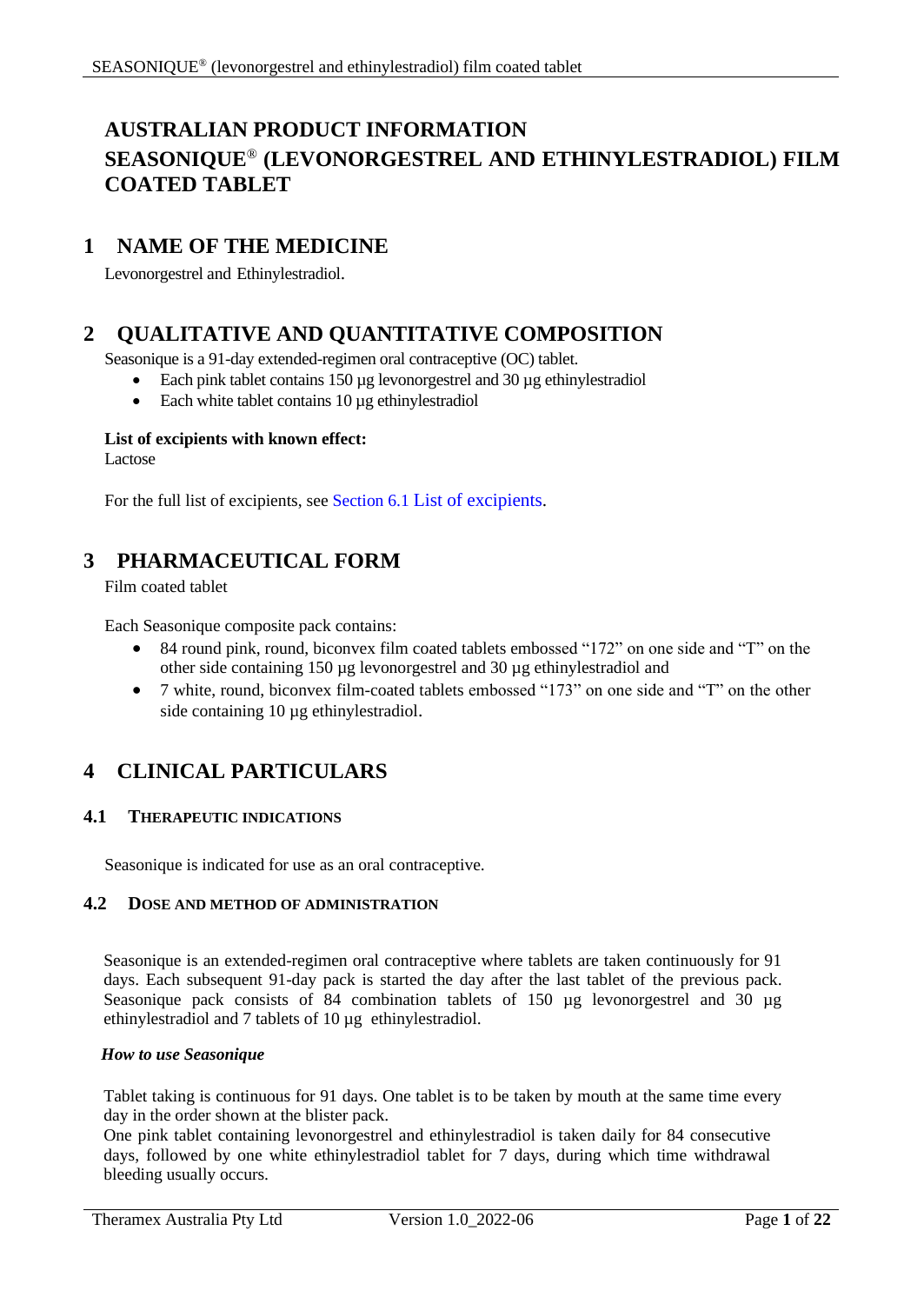# **AUSTRALIAN PRODUCT INFORMATION SEASONIQUE**® **(LEVONORGESTREL AND ETHINYLESTRADIOL) FILM COATED TABLET**

# **1 NAME OF THE MEDICINE**

Levonorgestrel and Ethinylestradiol.

# **2 QUALITATIVE AND QUANTITATIVE COMPOSITION**

Seasonique is a 91-day extended-regimen oral contraceptive (OC) tablet.

- Each pink tablet contains 150 µg levonorgestrel and 30 µg ethinylestradiol
- Each white tablet contains 10 µg ethinylestradiol

## **List of excipients with known effect:**

Lactose

For the full list of excipients, see Section [6.1](#page-19-0) [List of excipients.](#page-19-0)

# **3 PHARMACEUTICAL FORM**

Film coated tablet

Each Seasonique composite pack contains:

- 84 round pink, round, biconvex film coated tablets embossed "172" on one side and "T" on the other side containing 150 µg levonorgestrel and 30 µg ethinylestradiol and
- 7 white, round, biconvex film-coated tablets embossed "173" on one side and "T" on the other side containing 10 µg ethinylestradiol.

# **4 CLINICAL PARTICULARS**

## **4.1 THERAPEUTIC INDICATIONS**

Seasonique is indicated for use as an oral contraceptive.

# **4.2 DOSE AND METHOD OF ADMINISTRATION**

Seasonique is an extended-regimen oral contraceptive where tablets are taken continuously for 91 days. Each subsequent 91-day pack is started the day after the last tablet of the previous pack. Seasonique pack consists of 84 combination tablets of 150 µg levonorgestrel and 30 µg ethinylestradiol and 7 tablets of 10 µg ethinylestradiol.

## *How to use Seasonique*

Tablet taking is continuous for 91 days. One tablet is to be taken by mouth at the same time every day in the order shown at the blister pack.

One pink tablet containing levonorgestrel and ethinylestradiol is taken daily for 84 consecutive days, followed by one white ethinylestradiol tablet for 7 days, during which time withdrawal bleeding usually occurs.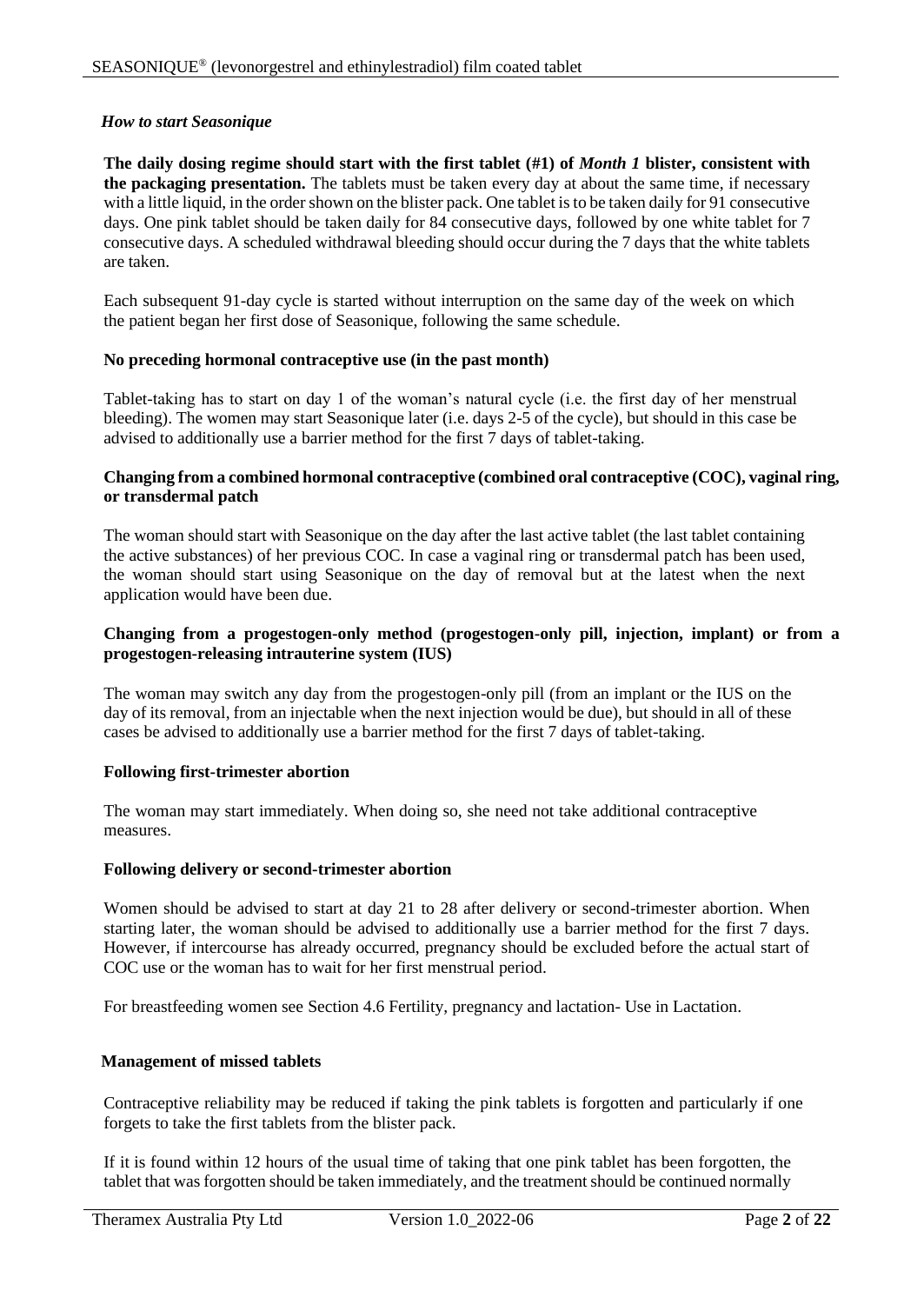#### *How to start Seasonique*

**The daily dosing regime should start with the first tablet (#1) of** *Month 1* **blister, consistent with the packaging presentation.** The tablets must be taken every day at about the same time, if necessary with a little liquid, in the order shown on the blister pack. One tablet is to be taken daily for 91 consecutive days. One pink tablet should be taken daily for 84 consecutive days, followed by one white tablet for 7 consecutive days. A scheduled withdrawal bleeding should occur during the 7 days that the white tablets are taken.

Each subsequent 91-day cycle is started without interruption on the same day of the week on which the patient began her first dose of Seasonique, following the same schedule.

#### **No preceding hormonal contraceptive use (in the past month)**

Tablet-taking has to start on day 1 of the woman's natural cycle (i.e. the first day of her menstrual bleeding). The women may start Seasonique later (i.e. days 2-5 of the cycle), but should in this case be advised to additionally use a barrier method for the first 7 days of tablet-taking.

#### **Changing from a combined hormonal contraceptive (combined oral contraceptive (COC), vaginal ring, or transdermal patch**

The woman should start with Seasonique on the day after the last active tablet (the last tablet containing the active substances) of her previous COC. In case a vaginal ring or transdermal patch has been used, the woman should start using Seasonique on the day of removal but at the latest when the next application would have been due.

#### **Changing from a progestogen-only method (progestogen-only pill, injection, implant) or from a progestogen-releasing intrauterine system (IUS)**

The woman may switch any day from the progestogen-only pill (from an implant or the IUS on the day of its removal, from an injectable when the next injection would be due), but should in all of these cases be advised to additionally use a barrier method for the first 7 days of tablet-taking.

## **Following first-trimester abortion**

The woman may start immediately. When doing so, she need not take additional contraceptive measures.

#### **Following delivery or second-trimester abortion**

Women should be advised to start at day 21 to 28 after delivery or second-trimester abortion. When starting later, the woman should be advised to additionally use a barrier method for the first 7 days. However, if intercourse has already occurred, pregnancy should be excluded before the actual start of COC use or the woman has to wait for her first menstrual period.

For breastfeeding women see Section 4.6 Fertility, pregnancy and lactation- Use in Lactation.

## **Management of missed tablets**

Contraceptive reliability may be reduced if taking the pink tablets is forgotten and particularly if one forgets to take the first tablets from the blister pack.

If it is found within 12 hours of the usual time of taking that one pink tablet has been forgotten, the tablet that was forgotten should be taken immediately, and the treatment should be continued normally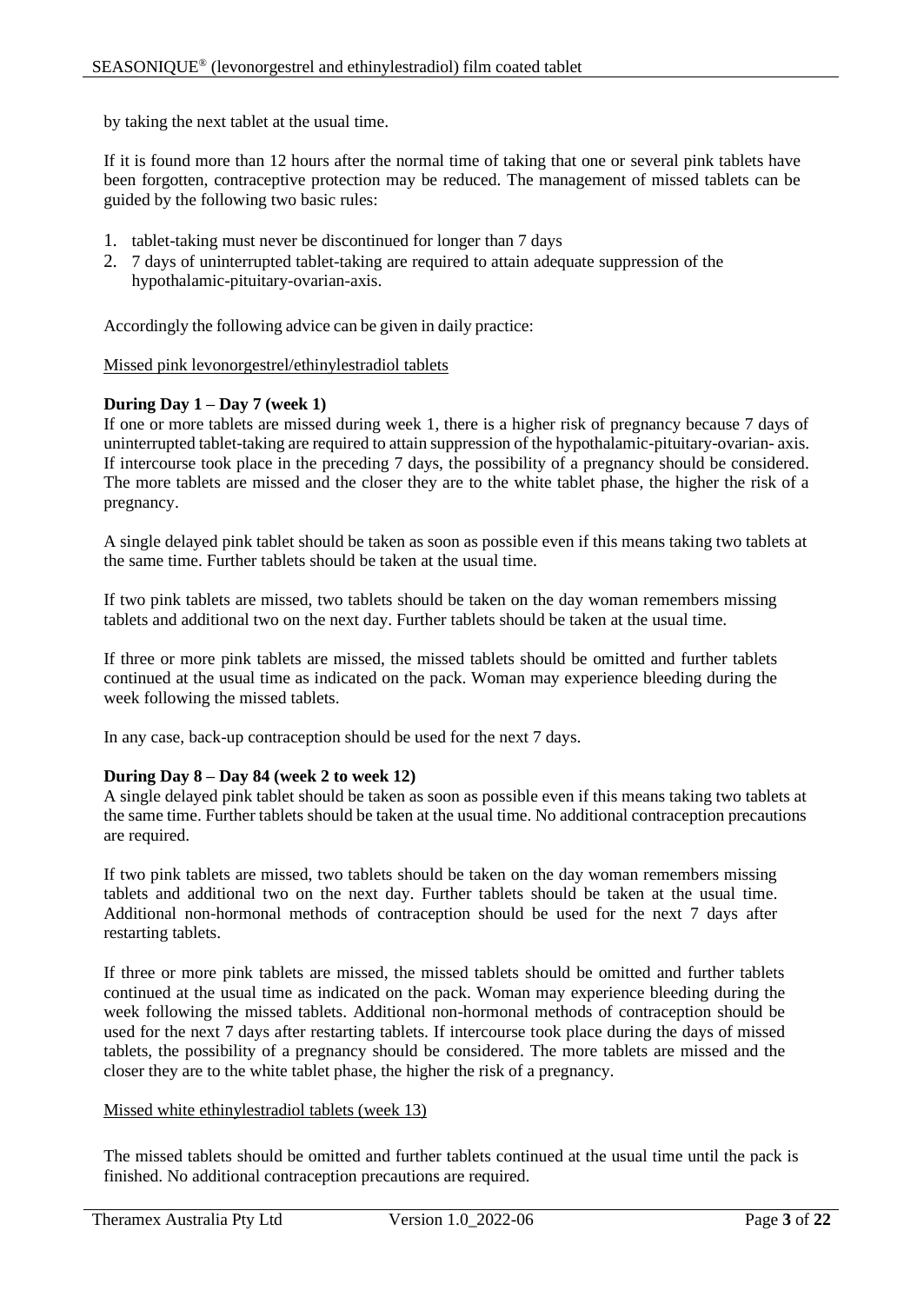by taking the next tablet at the usual time.

If it is found more than 12 hours after the normal time of taking that one or several pink tablets have been forgotten, contraceptive protection may be reduced. The management of missed tablets can be guided by the following two basic rules:

- 1. tablet-taking must never be discontinued for longer than 7 days
- 2. 7 days of uninterrupted tablet-taking are required to attain adequate suppression of the hypothalamic-pituitary-ovarian-axis.

Accordingly the following advice can be given in daily practice:

#### Missed pink levonorgestrel/ethinylestradiol tablets

#### **During Day 1 – Day 7 (week 1)**

If one or more tablets are missed during week 1, there is a higher risk of pregnancy because 7 days of uninterrupted tablet-taking are required to attain suppression of the hypothalamic-pituitary-ovarian- axis. If intercourse took place in the preceding 7 days, the possibility of a pregnancy should be considered. The more tablets are missed and the closer they are to the white tablet phase, the higher the risk of a pregnancy.

A single delayed pink tablet should be taken as soon as possible even if this means taking two tablets at the same time. Further tablets should be taken at the usual time.

If two pink tablets are missed, two tablets should be taken on the day woman remembers missing tablets and additional two on the next day. Further tablets should be taken at the usual time.

If three or more pink tablets are missed, the missed tablets should be omitted and further tablets continued at the usual time as indicated on the pack. Woman may experience bleeding during the week following the missed tablets.

In any case, back-up contraception should be used for the next 7 days.

#### **During Day 8 – Day 84 (week 2 to week 12)**

A single delayed pink tablet should be taken as soon as possible even if this means taking two tablets at the same time. Further tablets should be taken at the usual time. No additional contraception precautions are required.

If two pink tablets are missed, two tablets should be taken on the day woman remembers missing tablets and additional two on the next day. Further tablets should be taken at the usual time. Additional non-hormonal methods of contraception should be used for the next 7 days after restarting tablets.

If three or more pink tablets are missed, the missed tablets should be omitted and further tablets continued at the usual time as indicated on the pack. Woman may experience bleeding during the week following the missed tablets. Additional non-hormonal methods of contraception should be used for the next 7 days after restarting tablets. If intercourse took place during the days of missed tablets, the possibility of a pregnancy should be considered. The more tablets are missed and the closer they are to the white tablet phase, the higher the risk of a pregnancy.

#### Missed white ethinylestradiol tablets (week 13)

The missed tablets should be omitted and further tablets continued at the usual time until the pack is finished. No additional contraception precautions are required.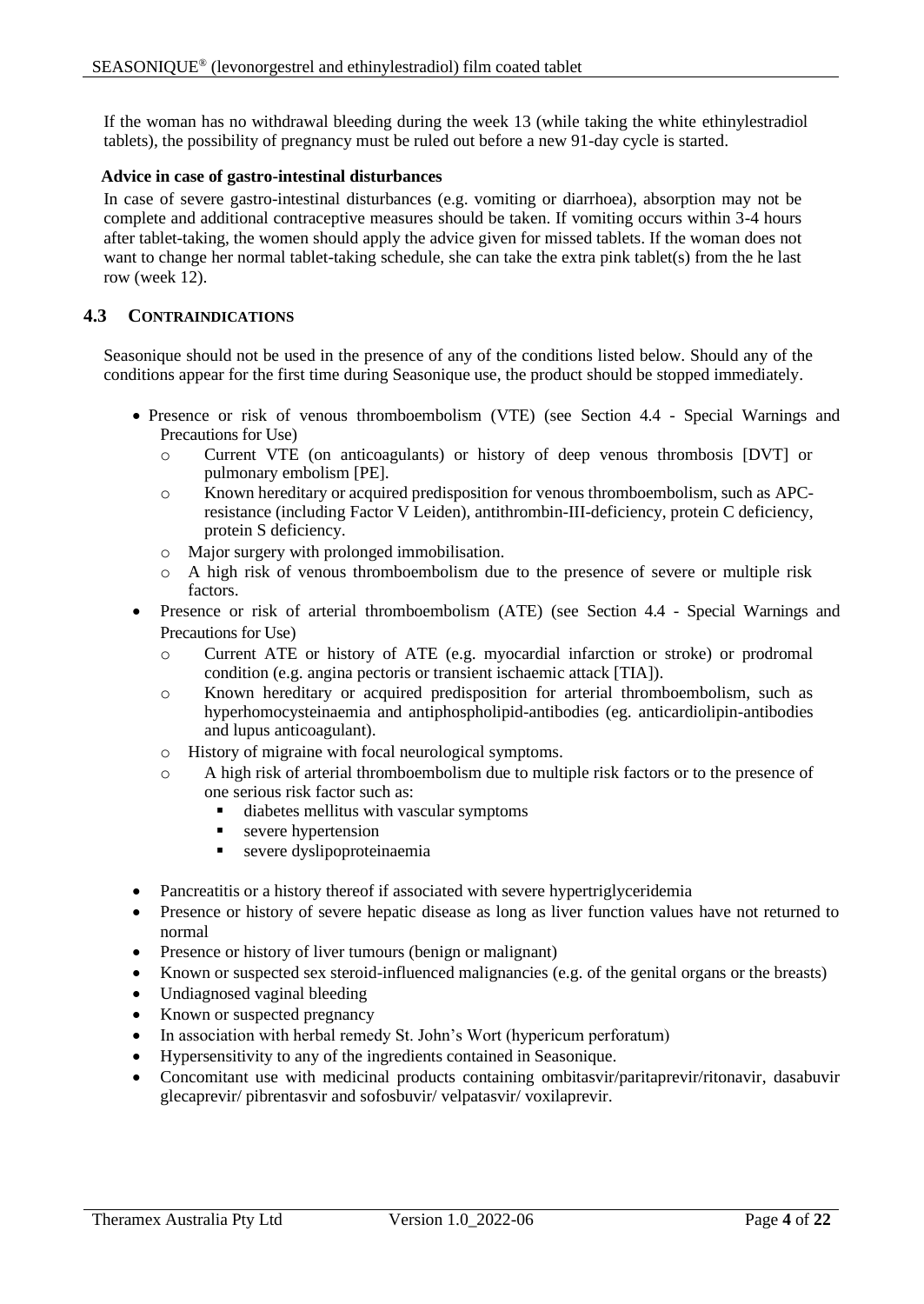If the woman has no withdrawal bleeding during the week 13 (while taking the white ethinylestradiol tablets), the possibility of pregnancy must be ruled out before a new 91-day cycle is started.

## **Advice in case of gastro-intestinal disturbances**

In case of severe gastro-intestinal disturbances (e.g. vomiting or diarrhoea), absorption may not be complete and additional contraceptive measures should be taken. If vomiting occurs within 3-4 hours after tablet-taking, the women should apply the advice given for missed tablets. If the woman does not want to change her normal tablet-taking schedule, she can take the extra pink tablet(s) from the he last row (week 12).

# **4.3 CONTRAINDICATIONS**

Seasonique should not be used in the presence of any of the conditions listed below. Should any of the conditions appear for the first time during Seasonique use, the product should be stopped immediately.

- Presence or risk of venous thromboembolism (VTE) (see Section 4.4 Special Warnings and Precautions for Use)
	- o Current VTE (on anticoagulants) or history of deep venous thrombosis [DVT] or pulmonary embolism [PE].
	- o Known hereditary or acquired predisposition for venous thromboembolism, such as APCresistance (including Factor V Leiden), antithrombin-III-deficiency, protein C deficiency, protein S deficiency.
	- o Major surgery with prolonged immobilisation.
	- o A high risk of venous thromboembolism due to the presence of severe or multiple risk factors.
- Presence or risk of arterial thromboembolism (ATE) (see Section 4.4 Special Warnings and Precautions for Use)
	- o Current ATE or history of ATE (e.g. myocardial infarction or stroke) or prodromal condition (e.g. angina pectoris or transient ischaemic attack [TIA]).
	- o Known hereditary or acquired predisposition for arterial thromboembolism, such as hyperhomocysteinaemia and antiphospholipid-antibodies (eg. anticardiolipin-antibodies and lupus anticoagulant).
	- o History of migraine with focal neurological symptoms.
	- o A high risk of arterial thromboembolism due to multiple risk factors or to the presence of one serious risk factor such as:
		- diabetes mellitus with vascular symptoms
		- severe hypertension
		- severe dyslipoproteinaemia
- Pancreatitis or a history thereof if associated with severe hypertriglyceridemia
- Presence or history of severe hepatic disease as long as liver function values have not returned to normal
- Presence or history of liver tumours (benign or malignant)
- Known or suspected sex steroid-influenced malignancies (e.g. of the genital organs or the breasts)
- Undiagnosed vaginal bleeding
- Known or suspected pregnancy
- In association with herbal remedy St. John's Wort (hypericum perforatum)
- Hypersensitivity to any of the ingredients contained in Seasonique.
- Concomitant use with medicinal products containing ombitasvir/paritaprevir/ritonavir, dasabuvir glecaprevir/ pibrentasvir and sofosbuvir/ velpatasvir/ voxilaprevir.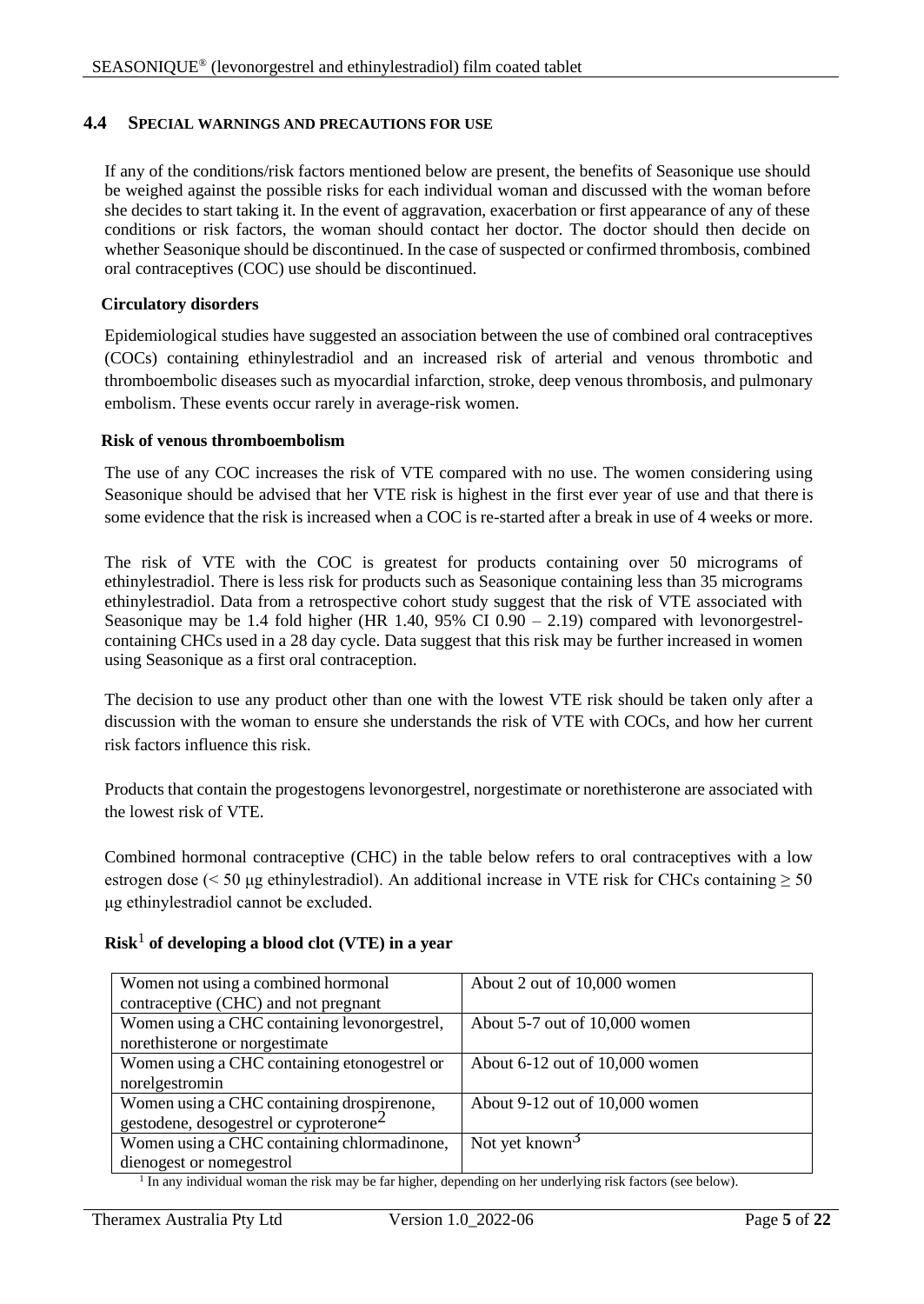## **4.4 SPECIAL WARNINGS AND PRECAUTIONS FOR USE**

If any of the conditions/risk factors mentioned below are present, the benefits of Seasonique use should be weighed against the possible risks for each individual woman and discussed with the woman before she decides to start taking it. In the event of aggravation, exacerbation or first appearance of any of these conditions or risk factors, the woman should contact her doctor. The doctor should then decide on whether Seasonique should be discontinued. In the case of suspected or confirmed thrombosis, combined oral contraceptives (COC) use should be discontinued.

## **Circulatory disorders**

Epidemiological studies have suggested an association between the use of combined oral contraceptives (COCs) containing ethinylestradiol and an increased risk of arterial and venous thrombotic and thromboembolic diseases such as myocardial infarction, stroke, deep venous thrombosis, and pulmonary embolism. These events occur rarely in average-risk women.

## **Risk of venous thromboembolism**

The use of any COC increases the risk of VTE compared with no use. The women considering using Seasonique should be advised that her VTE risk is highest in the first ever year of use and that there is some evidence that the risk is increased when a COC is re-started after a break in use of 4 weeks or more.

The risk of VTE with the COC is greatest for products containing over 50 micrograms of ethinylestradiol. There is less risk for products such as Seasonique containing less than 35 micrograms ethinylestradiol. Data from a retrospective cohort study suggest that the risk of VTE associated with Seasonique may be 1.4 fold higher (HR 1.40, 95% CI 0.90 – 2.19) compared with levonorgestrelcontaining CHCs used in a 28 day cycle. Data suggest that this risk may be further increased in women using Seasonique as a first oral contraception.

The decision to use any product other than one with the lowest VTE risk should be taken only after a discussion with the woman to ensure she understands the risk of VTE with COCs, and how her current risk factors influence this risk.

Products that contain the progestogens levonorgestrel, norgestimate or norethisterone are associated with the lowest risk of VTE.

Combined hormonal contraceptive (CHC) in the table below refers to oral contraceptives with a low estrogen dose (< 50 µg ethinylestradiol). An additional increase in VTE risk for CHCs containing  $\geq$  50 μg ethinylestradiol cannot be excluded.

# **Risk**<sup>1</sup> **of developing a blood clot (VTE) in a year**

| Women not using a combined hormonal                | About 2 out of 10,000 women    |
|----------------------------------------------------|--------------------------------|
| contraceptive (CHC) and not pregnant               |                                |
| Women using a CHC containing levonorgestrel,       | About 5-7 out of 10,000 women  |
| norethisterone or norgestimate                     |                                |
| Women using a CHC containing etonogestrel or       | About 6-12 out of 10,000 women |
| norelgestromin                                     |                                |
| Women using a CHC containing drospirenone,         | About 9-12 out of 10,000 women |
| gestodene, desogestrel or cyproterone <sup>2</sup> |                                |
| Women using a CHC containing chlormadinone,        | Not yet known <sup>3</sup>     |
| dienogest or nomegestrol                           |                                |

<sup>1</sup> In any individual woman the risk may be far higher, depending on her underlying risk factors (see below).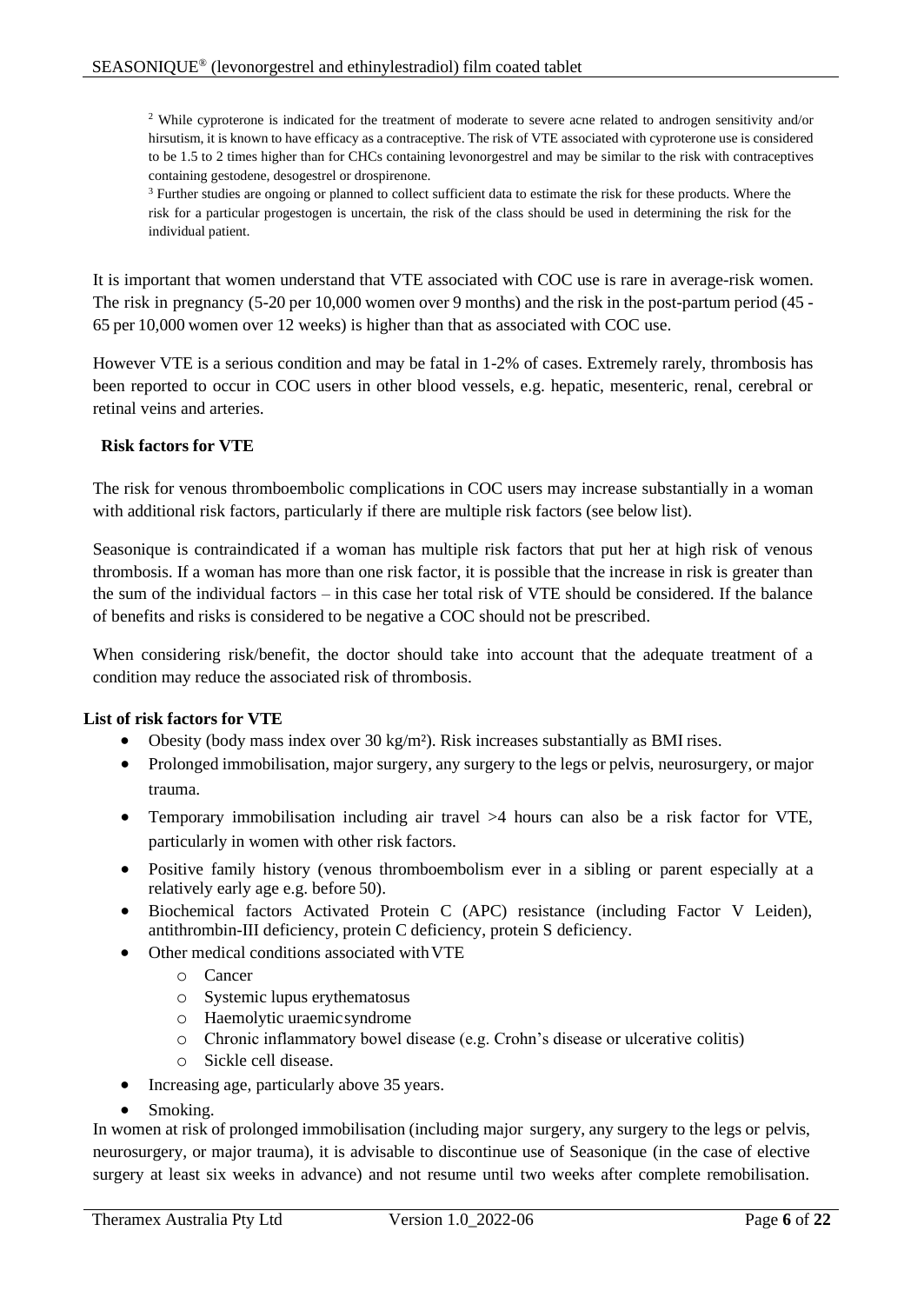<sup>2</sup> While cyproterone is indicated for the treatment of moderate to severe acne related to androgen sensitivity and/or hirsutism, it is known to have efficacy as a contraceptive. The risk of VTE associated with cyproterone use is considered to be 1.5 to 2 times higher than for CHCs containing levonorgestrel and may be similar to the risk with contraceptives containing gestodene, desogestrel or drospirenone.

<sup>3</sup> Further studies are ongoing or planned to collect sufficient data to estimate the risk for these products. Where the risk for a particular progestogen is uncertain, the risk of the class should be used in determining the risk for the individual patient.

It is important that women understand that VTE associated with COC use is rare in average-risk women. The risk in pregnancy (5-20 per 10,000 women over 9 months) and the risk in the post-partum period (45 - 65 per 10,000 women over 12 weeks) is higher than that as associated with COC use.

However VTE is a serious condition and may be fatal in 1-2% of cases. Extremely rarely, thrombosis has been reported to occur in COC users in other blood vessels, e.g. hepatic, mesenteric, renal, cerebral or retinal veins and arteries.

## **Risk factors for VTE**

The risk for venous thromboembolic complications in COC users may increase substantially in a woman with additional risk factors, particularly if there are multiple risk factors (see below list).

Seasonique is contraindicated if a woman has multiple risk factors that put her at high risk of venous thrombosis. If a woman has more than one risk factor, it is possible that the increase in risk is greater than the sum of the individual factors – in this case her total risk of VTE should be considered. If the balance of benefits and risks is considered to be negative a COC should not be prescribed.

When considering risk/benefit, the doctor should take into account that the adequate treatment of a condition may reduce the associated risk of thrombosis.

## **List of risk factors for VTE**

- Obesity (body mass index over 30 kg/m²). Risk increases substantially as BMI rises.
- Prolonged immobilisation, major surgery, any surgery to the legs or pelvis, neurosurgery, or major trauma.
- Temporary immobilisation including air travel  $>4$  hours can also be a risk factor for VTE, particularly in women with other risk factors.
- Positive family history (venous thromboembolism ever in a sibling or parent especially at a relatively early age e.g. before 50).
- Biochemical factors Activated Protein C (APC) resistance (including Factor V Leiden), antithrombin-III deficiency, protein C deficiency, protein S deficiency.
- Other medical conditions associated with VTE
	- o Cancer
	- o Systemic lupus erythematosus
	- o Haemolytic uraemicsyndrome
	- o Chronic inflammatory bowel disease (e.g. Crohn's disease or ulcerative colitis)
	- o Sickle cell disease.
- Increasing age, particularly above 35 years.
- Smoking.

In women at risk of prolonged immobilisation (including major surgery, any surgery to the legs or pelvis, neurosurgery, or major trauma), it is advisable to discontinue use of Seasonique (in the case of elective surgery at least six weeks in advance) and not resume until two weeks after complete remobilisation.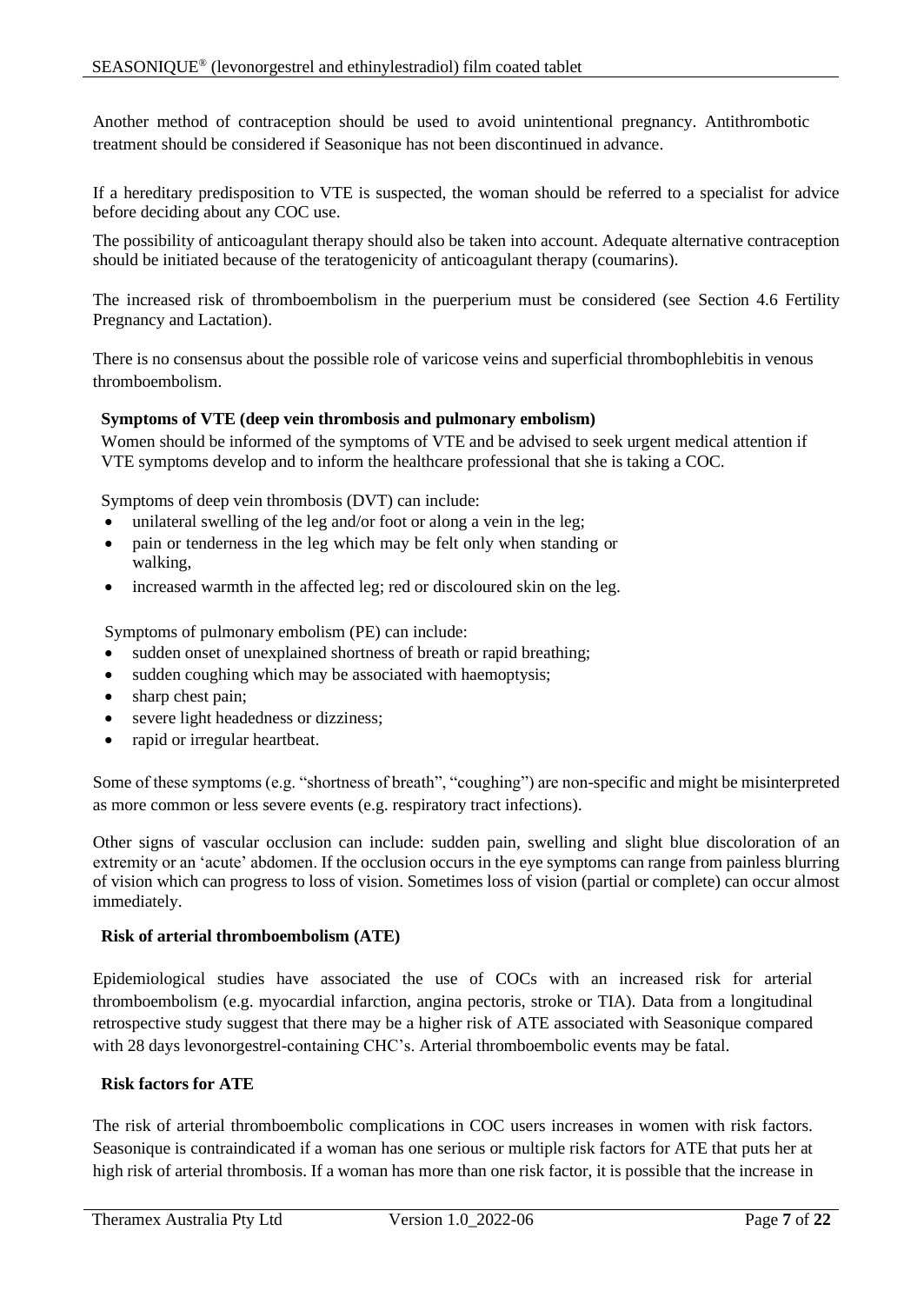Another method of contraception should be used to avoid unintentional pregnancy. Antithrombotic treatment should be considered if Seasonique has not been discontinued in advance.

If a hereditary predisposition to VTE is suspected, the woman should be referred to a specialist for advice before deciding about any COC use.

The possibility of anticoagulant therapy should also be taken into account. Adequate alternative contraception should be initiated because of the teratogenicity of anticoagulant therapy (coumarins).

The increased risk of thromboembolism in the puerperium must be considered (see Section 4.6 Fertility Pregnancy and Lactation).

There is no consensus about the possible role of varicose veins and superficial thrombophlebitis in venous thromboembolism.

## **Symptoms of VTE (deep vein thrombosis and pulmonary embolism)**

Women should be informed of the symptoms of VTE and be advised to seek urgent medical attention if VTE symptoms develop and to inform the healthcare professional that she is taking a COC.

Symptoms of deep vein thrombosis (DVT) can include:

- unilateral swelling of the leg and/or foot or along a vein in the leg;
- pain or tenderness in the leg which may be felt only when standing or walking,
- increased warmth in the affected leg; red or discoloured skin on the leg.

Symptoms of pulmonary embolism (PE) can include:

- sudden onset of unexplained shortness of breath or rapid breathing;
- sudden coughing which may be associated with haemoptysis;
- sharp chest pain;
- severe light headedness or dizziness;
- rapid or irregular heartbeat.

Some of these symptoms (e.g. "shortness of breath", "coughing") are non-specific and might be misinterpreted as more common or less severe events (e.g. respiratory tract infections).

Other signs of vascular occlusion can include: sudden pain, swelling and slight blue discoloration of an extremity or an 'acute' abdomen. If the occlusion occurs in the eye symptoms can range from painless blurring of vision which can progress to loss of vision. Sometimes loss of vision (partial or complete) can occur almost immediately.

#### **Risk of arterial thromboembolism (ATE)**

Epidemiological studies have associated the use of COCs with an increased risk for arterial thromboembolism (e.g. myocardial infarction, angina pectoris, stroke or TIA). Data from a longitudinal retrospective study suggest that there may be a higher risk of ATE associated with Seasonique compared with 28 days levonorgestrel-containing CHC's. Arterial thromboembolic events may be fatal.

## **Risk factors for ATE**

The risk of arterial thromboembolic complications in COC users increases in women with risk factors. Seasonique is contraindicated if a woman has one serious or multiple risk factors for ATE that puts her at high risk of arterial thrombosis. If a woman has more than one risk factor, it is possible that the increase in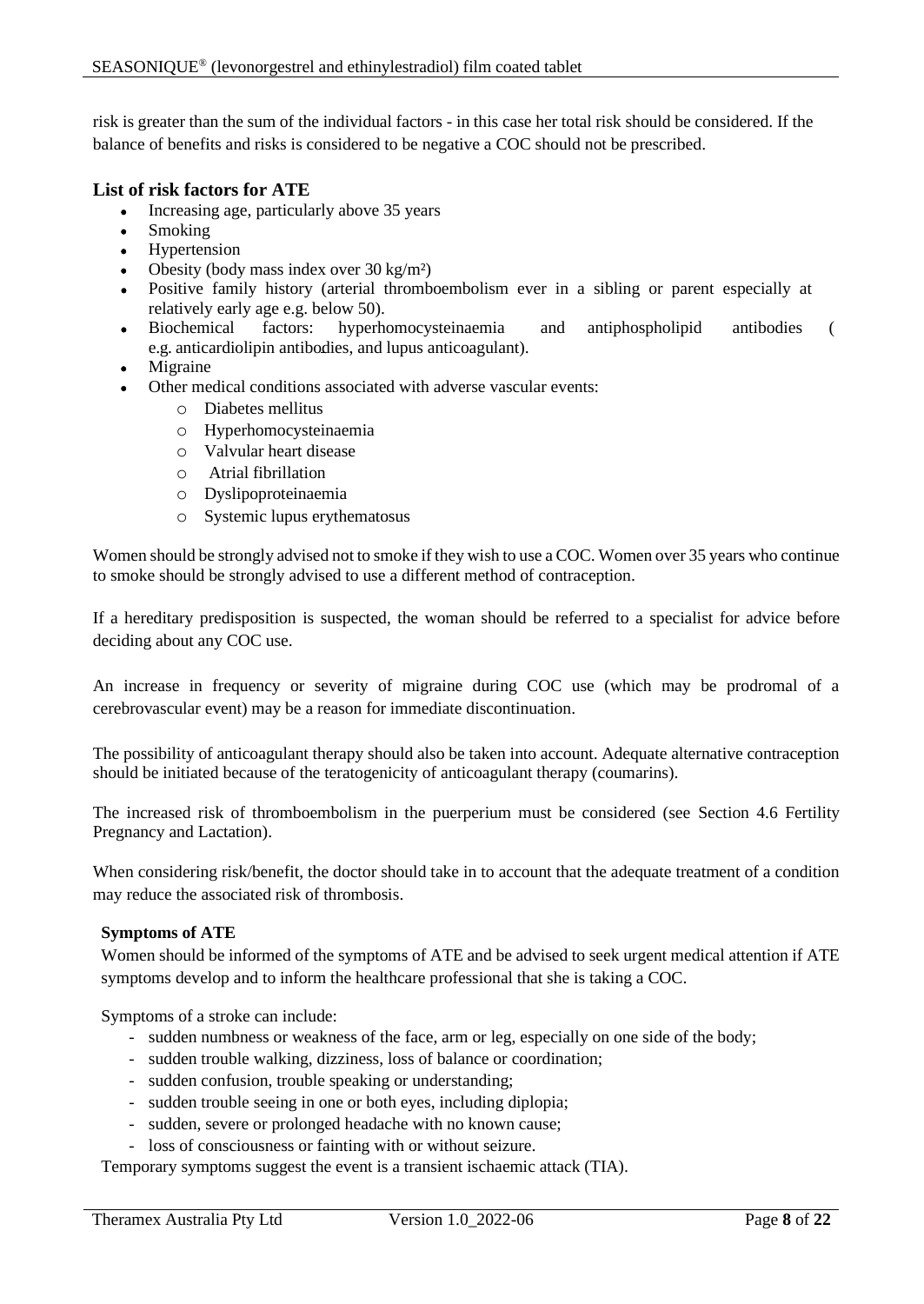risk is greater than the sum of the individual factors - in this case her total risk should be considered. If the balance of benefits and risks is considered to be negative a COC should not be prescribed.

## **List of risk factors for ATE**

- Increasing age, particularly above 35 years
- Smoking
- Hypertension
- Obesity (body mass index over 30 kg/m²)
- Positive family history (arterial thromboembolism ever in a sibling or parent especially at relatively early age e.g. below 50).
- Biochemical factors: hyperhomocysteinaemia and antiphospholipid antibodies ( e.g. anticardiolipin antibodies, and lupus anticoagulant).
- **Migraine**
- Other medical conditions associated with adverse vascular events:
	- o Diabetes mellitus
	- o Hyperhomocysteinaemia
	- o Valvular heart disease
	- o Atrial fibrillation
	- o Dyslipoproteinaemia
	- o Systemic lupus erythematosus

Women should be strongly advised not to smoke if they wish to use a COC. Women over 35 years who continue to smoke should be strongly advised to use a different method of contraception.

If a hereditary predisposition is suspected, the woman should be referred to a specialist for advice before deciding about any COC use.

An increase in frequency or severity of migraine during COC use (which may be prodromal of a cerebrovascular event) may be a reason for immediate discontinuation.

The possibility of anticoagulant therapy should also be taken into account. Adequate alternative contraception should be initiated because of the teratogenicity of anticoagulant therapy (coumarins).

The increased risk of thromboembolism in the puerperium must be considered (see Section 4.6 Fertility Pregnancy and Lactation).

When considering risk/benefit, the doctor should take in to account that the adequate treatment of a condition may reduce the associated risk of thrombosis.

## **Symptoms of ATE**

Women should be informed of the symptoms of ATE and be advised to seek urgent medical attention if ATE symptoms develop and to inform the healthcare professional that she is taking a COC.

Symptoms of a stroke can include:

- sudden numbness or weakness of the face, arm or leg, especially on one side of the body;
- sudden trouble walking, dizziness, loss of balance or coordination;
- sudden confusion, trouble speaking or understanding;
- sudden trouble seeing in one or both eyes, including diplopia;
- sudden, severe or prolonged headache with no known cause;
- loss of consciousness or fainting with or without seizure.

Temporary symptoms suggest the event is a transient ischaemic attack (TIA).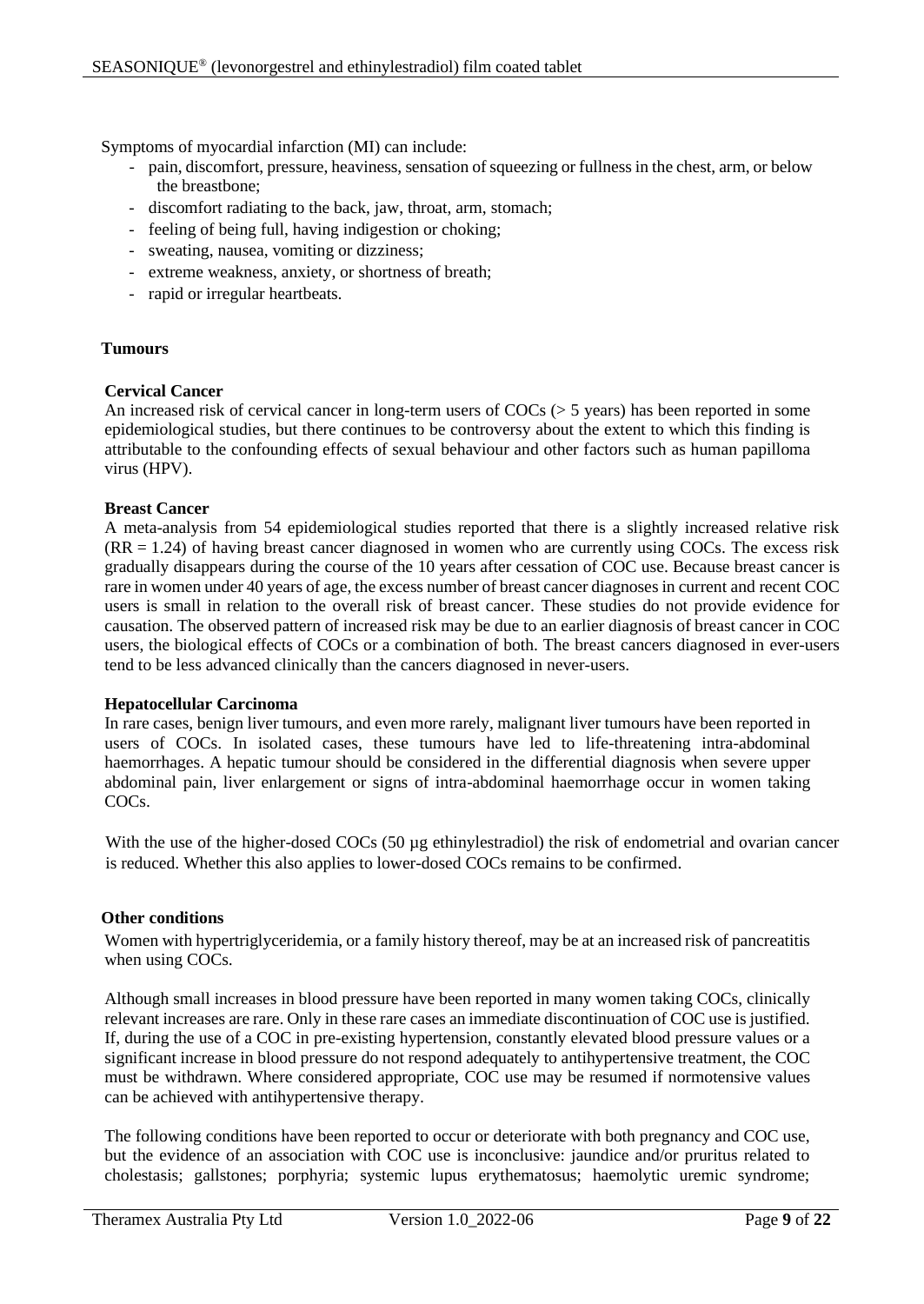Symptoms of myocardial infarction (MI) can include:

- pain, discomfort, pressure, heaviness, sensation of squeezing or fullness in the chest, arm, or below the breastbone;
- discomfort radiating to the back, jaw, throat, arm, stomach;
- feeling of being full, having indigestion or choking;
- sweating, nausea, vomiting or dizziness;
- extreme weakness, anxiety, or shortness of breath;
- rapid or irregular heartbeats.

#### **Tumours**

#### **Cervical Cancer**

An increased risk of cervical cancer in long-term users of COCs (> 5 years) has been reported in some epidemiological studies, but there continues to be controversy about the extent to which this finding is attributable to the confounding effects of sexual behaviour and other factors such as human papilloma virus (HPV).

#### **Breast Cancer**

A meta-analysis from 54 epidemiological studies reported that there is a slightly increased relative risk  $(RR = 1.24)$  of having breast cancer diagnosed in women who are currently using COCs. The excess risk gradually disappears during the course of the 10 years after cessation of COC use. Because breast cancer is rare in women under 40 years of age, the excess number of breast cancer diagnoses in current and recent COC users is small in relation to the overall risk of breast cancer. These studies do not provide evidence for causation. The observed pattern of increased risk may be due to an earlier diagnosis of breast cancer in COC users, the biological effects of COCs or a combination of both. The breast cancers diagnosed in ever-users tend to be less advanced clinically than the cancers diagnosed in never-users.

#### **Hepatocellular Carcinoma**

In rare cases, benign liver tumours, and even more rarely, malignant liver tumours have been reported in users of COCs. In isolated cases, these tumours have led to life-threatening intra-abdominal haemorrhages. A hepatic tumour should be considered in the differential diagnosis when severe upper abdominal pain, liver enlargement or signs of intra-abdominal haemorrhage occur in women taking COCs.

With the use of the higher-dosed COCs (50 µg ethinylestradiol) the risk of endometrial and ovarian cancer is reduced. Whether this also applies to lower-dosed COCs remains to be confirmed.

## **Other conditions**

Women with hypertriglyceridemia, or a family history thereof, may be at an increased risk of pancreatitis when using COCs.

Although small increases in blood pressure have been reported in many women taking COCs, clinically relevant increases are rare. Only in these rare cases an immediate discontinuation of COC use is justified. If, during the use of a COC in pre-existing hypertension, constantly elevated blood pressure values or a significant increase in blood pressure do not respond adequately to antihypertensive treatment, the COC must be withdrawn. Where considered appropriate, COC use may be resumed if normotensive values can be achieved with antihypertensive therapy.

The following conditions have been reported to occur or deteriorate with both pregnancy and COC use, but the evidence of an association with COC use is inconclusive: jaundice and/or pruritus related to cholestasis; gallstones; porphyria; systemic lupus erythematosus; haemolytic uremic syndrome;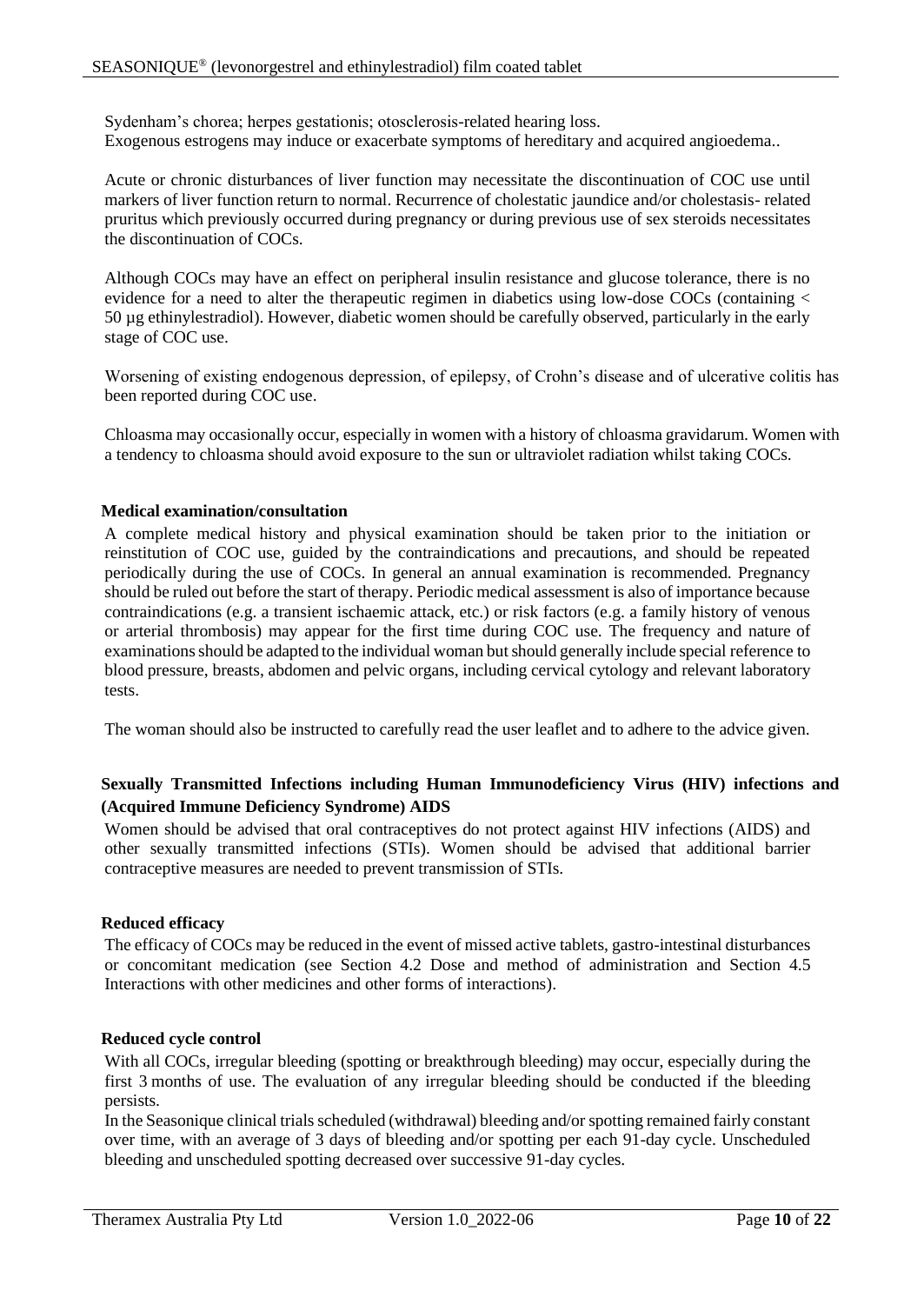Sydenham's chorea; herpes gestationis; otosclerosis-related hearing loss. Exogenous estrogens may induce or exacerbate symptoms of hereditary and acquired angioedema..

Acute or chronic disturbances of liver function may necessitate the discontinuation of COC use until markers of liver function return to normal. Recurrence of cholestatic jaundice and/or cholestasis- related pruritus which previously occurred during pregnancy or during previous use of sex steroids necessitates the discontinuation of COCs.

Although COCs may have an effect on peripheral insulin resistance and glucose tolerance, there is no evidence for a need to alter the therapeutic regimen in diabetics using low-dose COCs (containing < 50 µg ethinylestradiol). However, diabetic women should be carefully observed, particularly in the early stage of COC use.

Worsening of existing endogenous depression, of epilepsy, of Crohn's disease and of ulcerative colitis has been reported during COC use.

Chloasma may occasionally occur, especially in women with a history of chloasma gravidarum. Women with a tendency to chloasma should avoid exposure to the sun or ultraviolet radiation whilst taking COCs.

## **Medical examination/consultation**

A complete medical history and physical examination should be taken prior to the initiation or reinstitution of COC use, guided by the contraindications and precautions, and should be repeated periodically during the use of COCs. In general an annual examination is recommended. Pregnancy should be ruled out before the start of therapy. Periodic medical assessment is also of importance because contraindications (e.g. a transient ischaemic attack, etc.) or risk factors (e.g. a family history of venous or arterial thrombosis) may appear for the first time during COC use. The frequency and nature of examinations should be adapted to the individual woman but should generally include special reference to blood pressure, breasts, abdomen and pelvic organs, including cervical cytology and relevant laboratory tests.

The woman should also be instructed to carefully read the user leaflet and to adhere to the advice given.

# **Sexually Transmitted Infections including Human Immunodeficiency Virus (HIV) infections and (Acquired Immune Deficiency Syndrome) AIDS**

Women should be advised that oral contraceptives do not protect against HIV infections (AIDS) and other sexually transmitted infections (STIs). Women should be advised that additional barrier contraceptive measures are needed to prevent transmission of STIs.

## **Reduced efficacy**

The efficacy of COCs may be reduced in the event of missed active tablets, gastro-intestinal disturbances or concomitant medication (see Section 4.2 Dose and method of administration and Section 4.5 Interactions with other medicines and other forms of interactions).

## **Reduced cycle control**

With all COCs, irregular bleeding (spotting or breakthrough bleeding) may occur, especially during the first 3 months of use. The evaluation of any irregular bleeding should be conducted if the bleeding persists.

In the Seasonique clinical trials scheduled (withdrawal) bleeding and/or spotting remained fairly constant over time, with an average of 3 days of bleeding and/or spotting per each 91-day cycle. Unscheduled bleeding and unscheduled spotting decreased over successive 91-day cycles.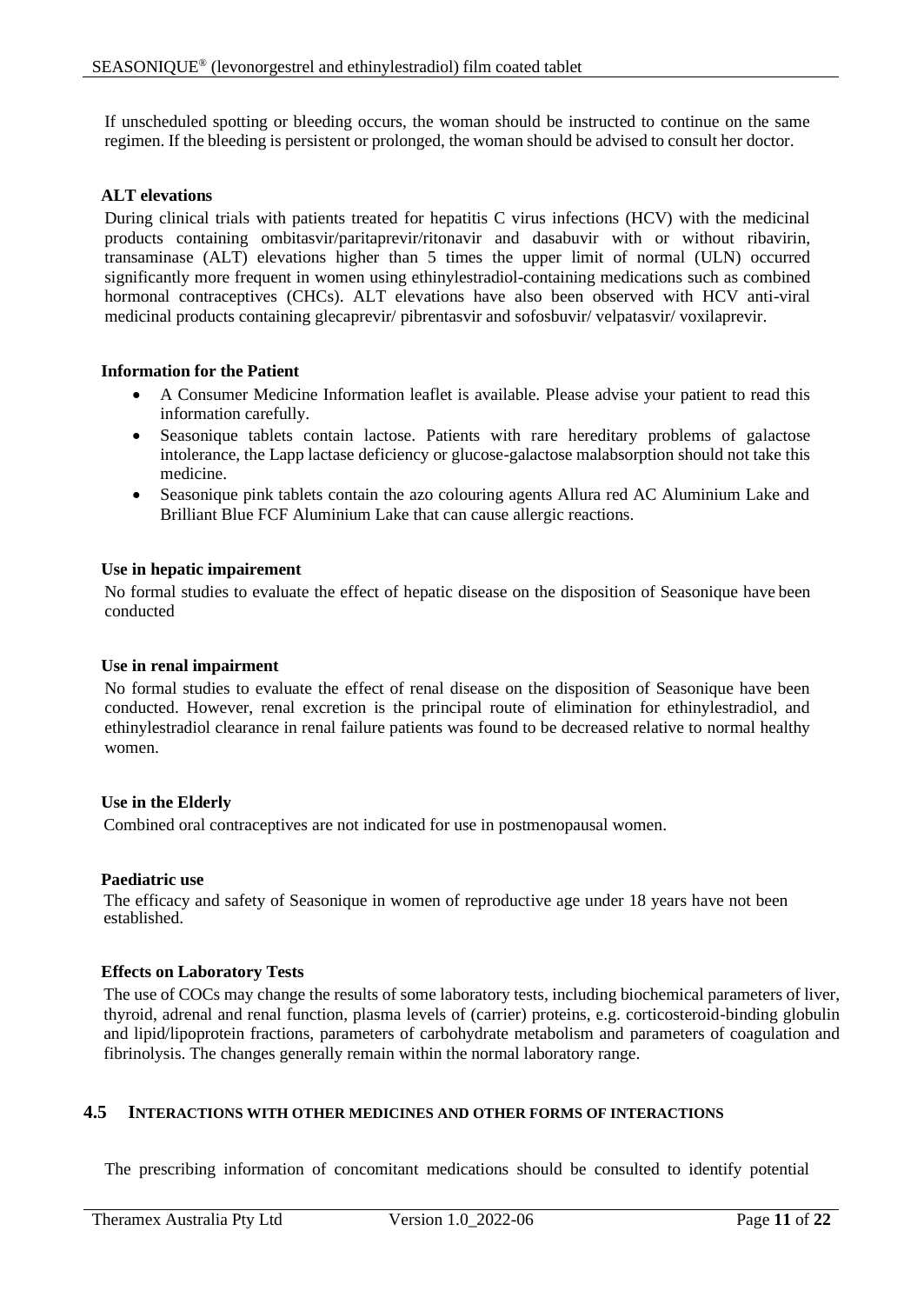If unscheduled spotting or bleeding occurs, the woman should be instructed to continue on the same regimen. If the bleeding is persistent or prolonged, the woman should be advised to consult her doctor.

#### **ALT elevations**

During clinical trials with patients treated for hepatitis C virus infections (HCV) with the medicinal products containing ombitasvir/paritaprevir/ritonavir and dasabuvir with or without ribavirin, transaminase (ALT) elevations higher than 5 times the upper limit of normal (ULN) occurred significantly more frequent in women using ethinylestradiol-containing medications such as combined hormonal contraceptives (CHCs). ALT elevations have also been observed with HCV anti-viral medicinal products containing glecaprevir/ pibrentasvir and sofosbuvir/ velpatasvir/ voxilaprevir.

#### **Information for the Patient**

- A Consumer Medicine Information leaflet is available. Please advise your patient to read this information carefully.
- Seasonique tablets contain lactose. Patients with rare hereditary problems of galactose intolerance, the Lapp lactase deficiency or glucose-galactose malabsorption should not take this medicine.
- Seasonique pink tablets contain the azo colouring agents Allura red AC Aluminium Lake and Brilliant Blue FCF Aluminium Lake that can cause allergic reactions.

#### **Use in hepatic impairement**

No formal studies to evaluate the effect of hepatic disease on the disposition of Seasonique have been conducted

#### **Use in renal impairment**

No formal studies to evaluate the effect of renal disease on the disposition of Seasonique have been conducted. However, renal excretion is the principal route of elimination for ethinylestradiol, and ethinylestradiol clearance in renal failure patients was found to be decreased relative to normal healthy women.

#### **Use in the Elderly**

Combined oral contraceptives are not indicated for use in postmenopausal women.

#### **Paediatric use**

The efficacy and safety of Seasonique in women of reproductive age under 18 years have not been established.

#### **Effects on Laboratory Tests**

The use of COCs may change the results of some laboratory tests, including biochemical parameters of liver, thyroid, adrenal and renal function, plasma levels of (carrier) proteins, e.g. corticosteroid-binding globulin and lipid/lipoprotein fractions, parameters of carbohydrate metabolism and parameters of coagulation and fibrinolysis. The changes generally remain within the normal laboratory range.

#### **4.5 INTERACTIONS WITH OTHER MEDICINES AND OTHER FORMS OF INTERACTIONS**

The prescribing information of concomitant medications should be consulted to identify potential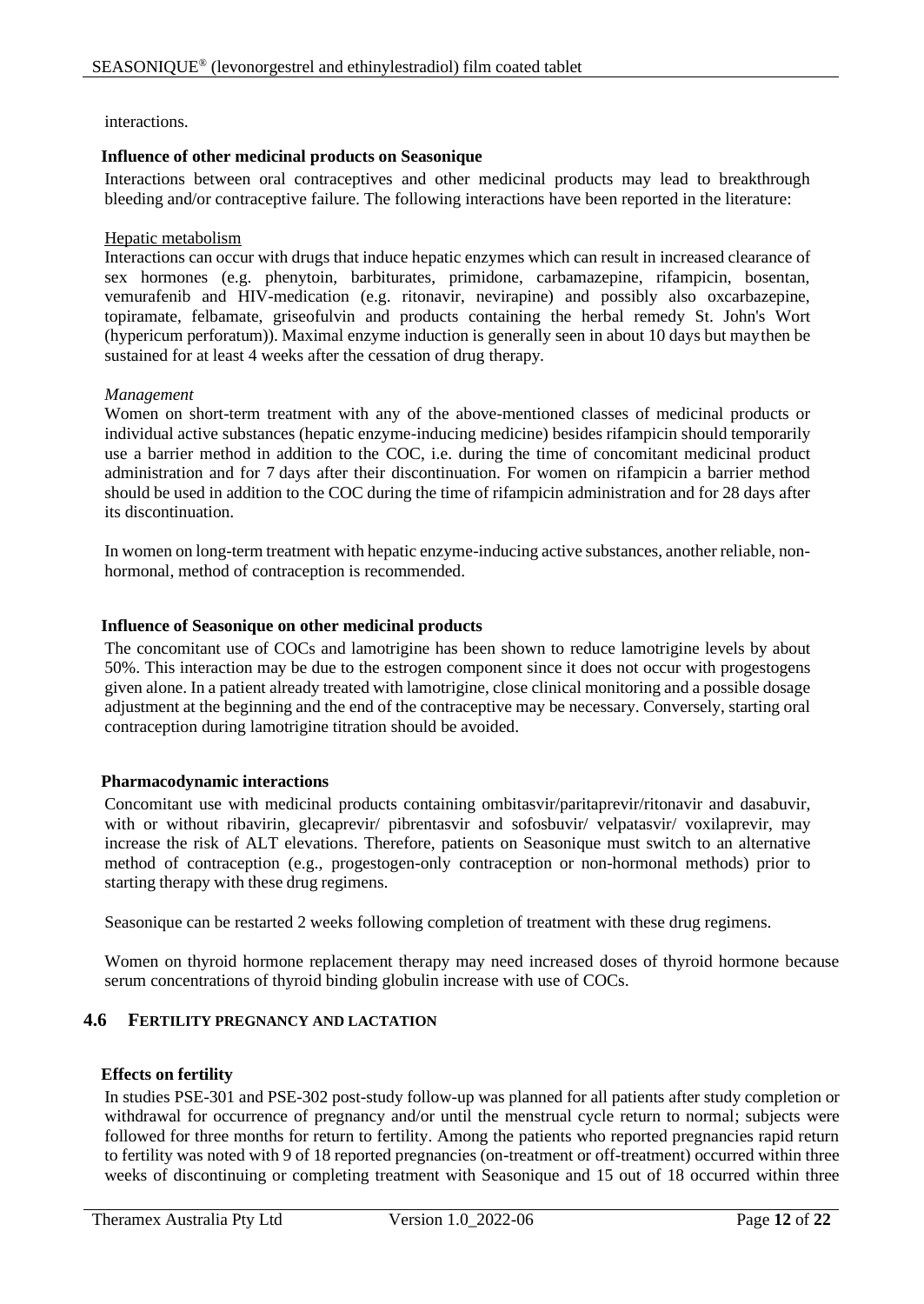#### interactions.

#### **Influence of other medicinal products on Seasonique**

Interactions between oral contraceptives and other medicinal products may lead to breakthrough bleeding and/or contraceptive failure. The following interactions have been reported in the literature:

#### Hepatic metabolism

Interactions can occur with drugs that induce hepatic enzymes which can result in increased clearance of sex hormones (e.g. phenytoin, barbiturates, primidone, carbamazepine, rifampicin, bosentan, vemurafenib and HIV-medication (e.g. ritonavir, nevirapine) and possibly also oxcarbazepine, topiramate, felbamate, griseofulvin and products containing the herbal remedy St. John's Wort (hypericum perforatum)). Maximal enzyme induction is generally seen in about 10 days but maythen be sustained for at least 4 weeks after the cessation of drug therapy*.*

#### *Management*

Women on short-term treatment with any of the above-mentioned classes of medicinal products or individual active substances (hepatic enzyme-inducing medicine) besides rifampicin should temporarily use a barrier method in addition to the COC, i.e. during the time of concomitant medicinal product administration and for 7 days after their discontinuation. For women on rifampicin a barrier method should be used in addition to the COC during the time of rifampicin administration and for 28 days after its discontinuation.

In women on long-term treatment with hepatic enzyme-inducing active substances, another reliable, nonhormonal, method of contraception is recommended.

#### **Influence of Seasonique on other medicinal products**

The concomitant use of COCs and lamotrigine has been shown to reduce lamotrigine levels by about 50%. This interaction may be due to the estrogen component since it does not occur with progestogens given alone. In a patient already treated with lamotrigine, close clinical monitoring and a possible dosage adjustment at the beginning and the end of the contraceptive may be necessary. Conversely, starting oral contraception during lamotrigine titration should be avoided.

## **Pharmacodynamic interactions**

Concomitant use with medicinal products containing ombitasvir/paritaprevir/ritonavir and dasabuvir, with or without ribavirin, glecaprevir/ pibrentasvir and sofosbuvir/ velpatasvir/ voxilaprevir, may increase the risk of ALT elevations. Therefore, patients on Seasonique must switch to an alternative method of contraception (e.g., progestogen-only contraception or non-hormonal methods) prior to starting therapy with these drug regimens.

Seasonique can be restarted 2 weeks following completion of treatment with these drug regimens.

Women on thyroid hormone replacement therapy may need increased doses of thyroid hormone because serum concentrations of thyroid binding globulin increase with use of COCs.

# **4.6 FERTILITY PREGNANCY AND LACTATION**

#### **Effects on fertility**

In studies PSE-301 and PSE-302 post-study follow-up was planned for all patients after study completion or withdrawal for occurrence of pregnancy and/or until the menstrual cycle return to normal; subjects were followed for three months for return to fertility. Among the patients who reported pregnancies rapid return to fertility was noted with 9 of 18 reported pregnancies (on-treatment or off-treatment) occurred within three weeks of discontinuing or completing treatment with Seasonique and 15 out of 18 occurred within three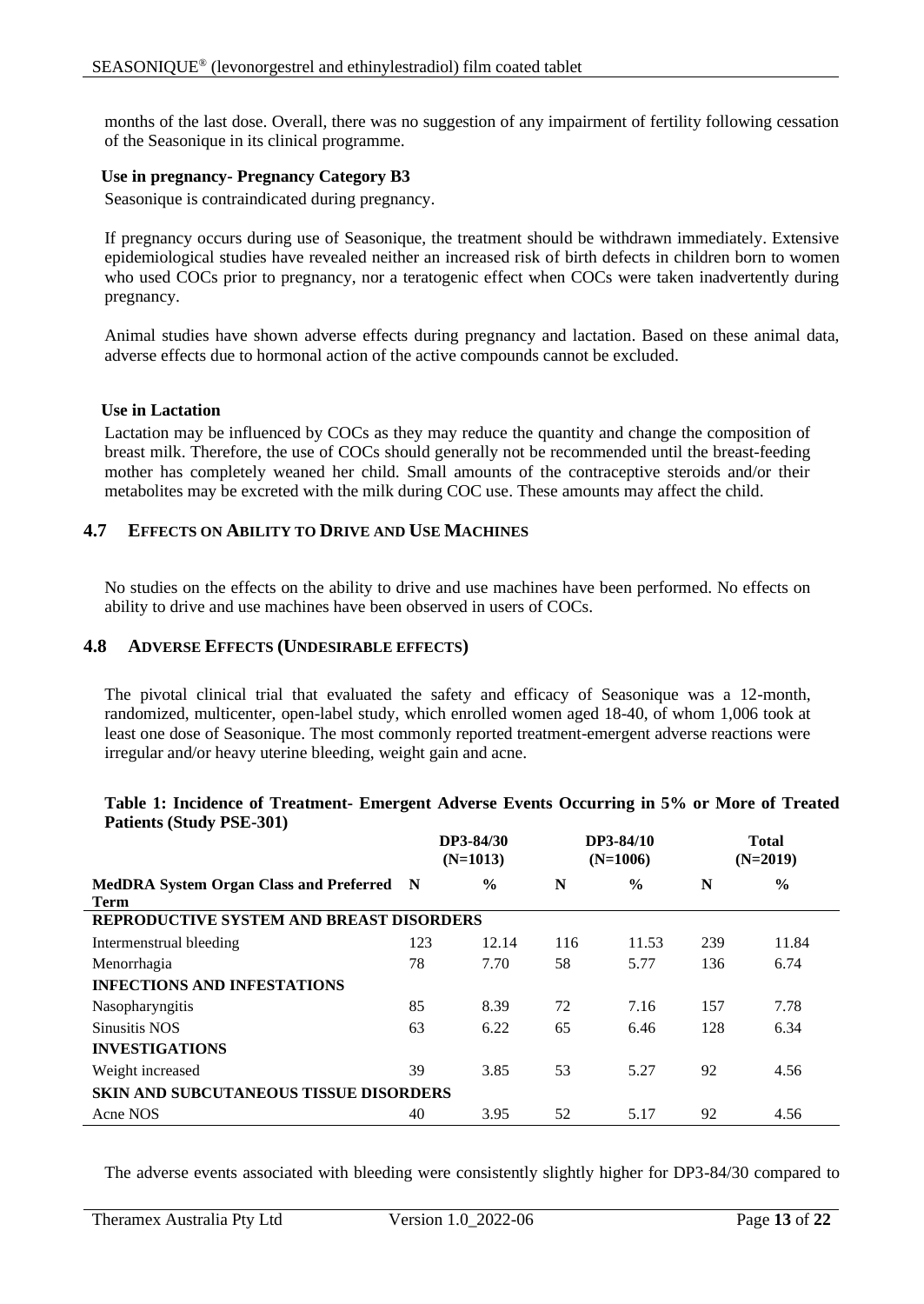months of the last dose. Overall, there was no suggestion of any impairment of fertility following cessation of the Seasonique in its clinical programme.

#### **Use in pregnancy- Pregnancy Category B3**

Seasonique is contraindicated during pregnancy.

If pregnancy occurs during use of Seasonique, the treatment should be withdrawn immediately. Extensive epidemiological studies have revealed neither an increased risk of birth defects in children born to women who used COCs prior to pregnancy, nor a teratogenic effect when COCs were taken inadvertently during pregnancy.

Animal studies have shown adverse effects during pregnancy and lactation. Based on these animal data, adverse effects due to hormonal action of the active compounds cannot be excluded.

#### **Use in Lactation**

Lactation may be influenced by COCs as they may reduce the quantity and change the composition of breast milk. Therefore, the use of COCs should generally not be recommended until the breast-feeding mother has completely weaned her child. Small amounts of the contraceptive steroids and/or their metabolites may be excreted with the milk during COC use. These amounts may affect the child.

## **4.7 EFFECTS ON ABILITY TO DRIVE AND USE MACHINES**

No studies on the effects on the ability to drive and use machines have been performed. No effects on ability to drive and use machines have been observed in users of COCs.

#### **4.8 ADVERSE EFFECTS (UNDESIRABLE EFFECTS)**

The pivotal clinical trial that evaluated the safety and efficacy of Seasonique was a 12-month, randomized, multicenter, open-label study, which enrolled women aged 18-40, of whom 1,006 took at least one dose of Seasonique. The most commonly reported treatment-emergent adverse reactions were irregular and/or heavy uterine bleeding, weight gain and acne.

#### **Table 1: Incidence of Treatment- Emergent Adverse Events Occurring in 5% or More of Treated Patients (Study PSE-301)**

|                                                          |                                               | DP3-84/30<br>$(N=1013)$ |     | DP3-84/10<br>$(N=1006)$ |     | <b>Total</b><br>$(N=2019)$ |  |
|----------------------------------------------------------|-----------------------------------------------|-------------------------|-----|-------------------------|-----|----------------------------|--|
| MedDRA System Organ Class and Preferred N<br><b>Term</b> |                                               | $\frac{6}{9}$           | N   | $\frac{0}{0}$           | N   | $\frac{0}{0}$              |  |
| REPRODUCTIVE SYSTEM AND BREAST DISORDERS                 |                                               |                         |     |                         |     |                            |  |
| Intermenstrual bleeding                                  | 123                                           | 12.14                   | 116 | 11.53                   | 239 | 11.84                      |  |
| Menorrhagia                                              | 78                                            | 7.70                    | 58  | 5.77                    | 136 | 6.74                       |  |
| <b>INFECTIONS AND INFESTATIONS</b>                       |                                               |                         |     |                         |     |                            |  |
| Nasopharyngitis                                          | 85                                            | 8.39                    | 72  | 7.16                    | 157 | 7.78                       |  |
| <b>Sinusitis NOS</b>                                     | 63                                            | 6.22                    | 65  | 6.46                    | 128 | 6.34                       |  |
| <b>INVESTIGATIONS</b>                                    |                                               |                         |     |                         |     |                            |  |
| Weight increased                                         | 39                                            | 3.85                    | 53  | 5.27                    | 92  | 4.56                       |  |
|                                                          | <b>SKIN AND SUBCUTANEOUS TISSUE DISORDERS</b> |                         |     |                         |     |                            |  |
| Acne NOS                                                 | 40                                            | 3.95                    | 52  | 5.17                    | 92  | 4.56                       |  |

The adverse events associated with bleeding were consistently slightly higher for DP3-84/30 compared to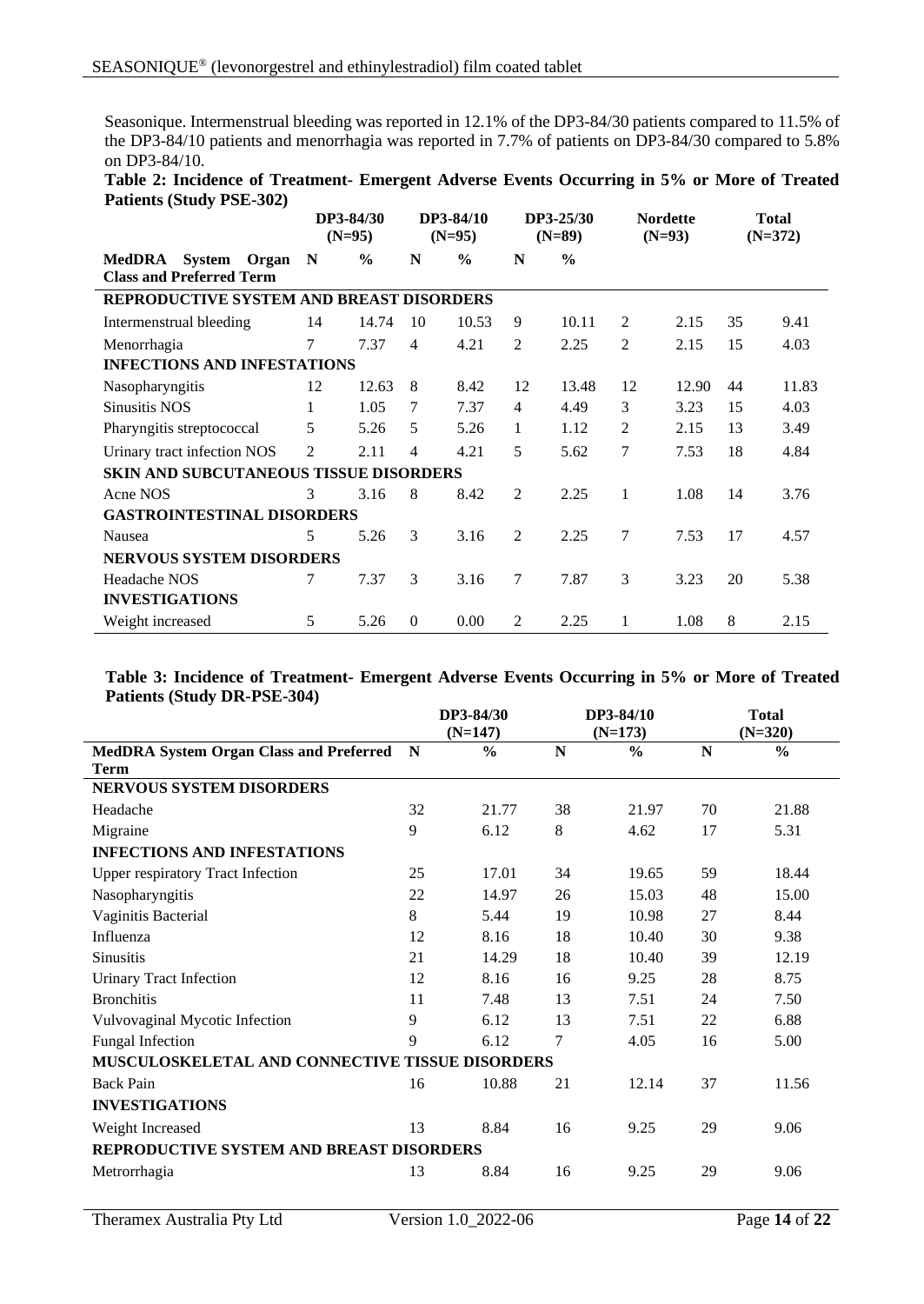Seasonique. Intermenstrual bleeding was reported in 12.1% of the DP3-84/30 patients compared to 11.5% of the DP3-84/10 patients and menorrhagia was reported in 7.7% of patients on DP3-84/30 compared to 5.8% on DP3-84/10.

| Table 2: Incidence of Treatment- Emergent Adverse Events Occurring in 5% or More of Treated |  |  |  |  |  |
|---------------------------------------------------------------------------------------------|--|--|--|--|--|
| <b>Patients (Study PSE-302)</b>                                                             |  |  |  |  |  |

|                                                        | DP3-84/30<br>$(N=95)$ |               |                | DP3-84/10<br>$(N=95)$ |        | DP3-25/30<br>$(N=89)$ | <b>Nordette</b><br>$(N=93)$ |       | <b>Total</b><br>$(N=372)$ |       |
|--------------------------------------------------------|-----------------------|---------------|----------------|-----------------------|--------|-----------------------|-----------------------------|-------|---------------------------|-------|
| MedDRA System Organ<br><b>Class and Preferred Term</b> | $\mathbf N$           | $\frac{6}{9}$ | N              | $\frac{6}{9}$         | N      | $\frac{6}{9}$         |                             |       |                           |       |
| REPRODUCTIVE SYSTEM AND BREAST DISORDERS               |                       |               |                |                       |        |                       |                             |       |                           |       |
| Intermenstrual bleeding                                | 14                    | 14.74         | 10             | 10.53                 | 9      | 10.11                 | 2                           | 2.15  | 35                        | 9.41  |
| Menorrhagia                                            | 7                     | 7.37          | $\overline{4}$ | 4.21                  | 2      | 2.25                  | 2                           | 2.15  | 15                        | 4.03  |
| <b>INFECTIONS AND INFESTATIONS</b>                     |                       |               |                |                       |        |                       |                             |       |                           |       |
| Nasopharyngitis                                        | 12                    | 12.63         | 8              | 8.42                  | 12     | 13.48                 | 12                          | 12.90 | 44                        | 11.83 |
| <b>Sinusitis NOS</b>                                   | 1                     | 1.05          | 7              | 7.37                  | 4      | 4.49                  | 3                           | 3.23  | 15                        | 4.03  |
| Pharyngitis streptococcal                              | 5                     | 5.26          | 5              | 5.26                  | 1      | 1.12                  | 2                           | 2.15  | 13                        | 3.49  |
| Urinary tract infection NOS                            | $\overline{2}$        | 2.11          | 4              | 4.21                  | 5      | 5.62                  | 7                           | 7.53  | 18                        | 4.84  |
| <b>SKIN AND SUBCUTANEOUS TISSUE DISORDERS</b>          |                       |               |                |                       |        |                       |                             |       |                           |       |
| Acne NOS                                               | 3                     | 3.16          | 8              | 8.42                  | 2      | 2.25                  | 1                           | 1.08  | 14                        | 3.76  |
| <b>GASTROINTESTINAL DISORDERS</b>                      |                       |               |                |                       |        |                       |                             |       |                           |       |
| Nausea                                                 | 5                     | 5.26          | 3              | 3.16                  | 2      | 2.25                  | 7                           | 7.53  | 17                        | 4.57  |
| <b>NERVOUS SYSTEM DISORDERS</b>                        |                       |               |                |                       |        |                       |                             |       |                           |       |
| Headache NOS                                           | 7                     | 7.37          | 3              | 3.16                  | $\tau$ | 7.87                  | 3                           | 3.23  | 20                        | 5.38  |
| <b>INVESTIGATIONS</b>                                  |                       |               |                |                       |        |                       |                             |       |                           |       |
| Weight increased                                       | 5                     | 5.26          | $\overline{0}$ | 0.00                  | 2      | 2.25                  | 1                           | 1.08  | 8                         | 2.15  |

#### **Table 3: Incidence of Treatment- Emergent Adverse Events Occurring in 5% or More of Treated Patients (Study DR-PSE-304)**

|                                                 | DP3-84/30<br>$(N=147)$ |               |    | DP3-84/10<br>$(N=173)$ |    | <b>Total</b><br>$(N=320)$ |
|-------------------------------------------------|------------------------|---------------|----|------------------------|----|---------------------------|
| <b>MedDRA System Organ Class and Preferred</b>  | N                      | $\frac{0}{0}$ | N  | $\frac{6}{6}$          | N  | $\frac{0}{0}$             |
| <b>Term</b>                                     |                        |               |    |                        |    |                           |
| <b>NERVOUS SYSTEM DISORDERS</b>                 |                        |               |    |                        |    |                           |
| Headache                                        | 32                     | 21.77         | 38 | 21.97                  | 70 | 21.88                     |
| Migraine                                        | 9                      | 6.12          | 8  | 4.62                   | 17 | 5.31                      |
| <b>INFECTIONS AND INFESTATIONS</b>              |                        |               |    |                        |    |                           |
| <b>Upper respiratory Tract Infection</b>        | 25                     | 17.01         | 34 | 19.65                  | 59 | 18.44                     |
| Nasopharyngitis                                 | 22                     | 14.97         | 26 | 15.03                  | 48 | 15.00                     |
| Vaginitis Bacterial                             | 8                      | 5.44          | 19 | 10.98                  | 27 | 8.44                      |
| Influenza                                       | 12                     | 8.16          | 18 | 10.40                  | 30 | 9.38                      |
| <b>Sinusitis</b>                                | 21                     | 14.29         | 18 | 10.40                  | 39 | 12.19                     |
| <b>Urinary Tract Infection</b>                  | 12                     | 8.16          | 16 | 9.25                   | 28 | 8.75                      |
| <b>Bronchitis</b>                               | 11                     | 7.48          | 13 | 7.51                   | 24 | 7.50                      |
| Vulvovaginal Mycotic Infection                  | 9                      | 6.12          | 13 | 7.51                   | 22 | 6.88                      |
| <b>Fungal Infection</b>                         | 9                      | 6.12          | 7  | 4.05                   | 16 | 5.00                      |
| MUSCULOSKELETAL AND CONNECTIVE TISSUE DISORDERS |                        |               |    |                        |    |                           |
| <b>Back Pain</b>                                | 16                     | 10.88         | 21 | 12.14                  | 37 | 11.56                     |
| <b>INVESTIGATIONS</b>                           |                        |               |    |                        |    |                           |
| Weight Increased                                | 13                     | 8.84          | 16 | 9.25                   | 29 | 9.06                      |
| REPRODUCTIVE SYSTEM AND BREAST DISORDERS        |                        |               |    |                        |    |                           |
| Metrorrhagia                                    | 13                     | 8.84          | 16 | 9.25                   | 29 | 9.06                      |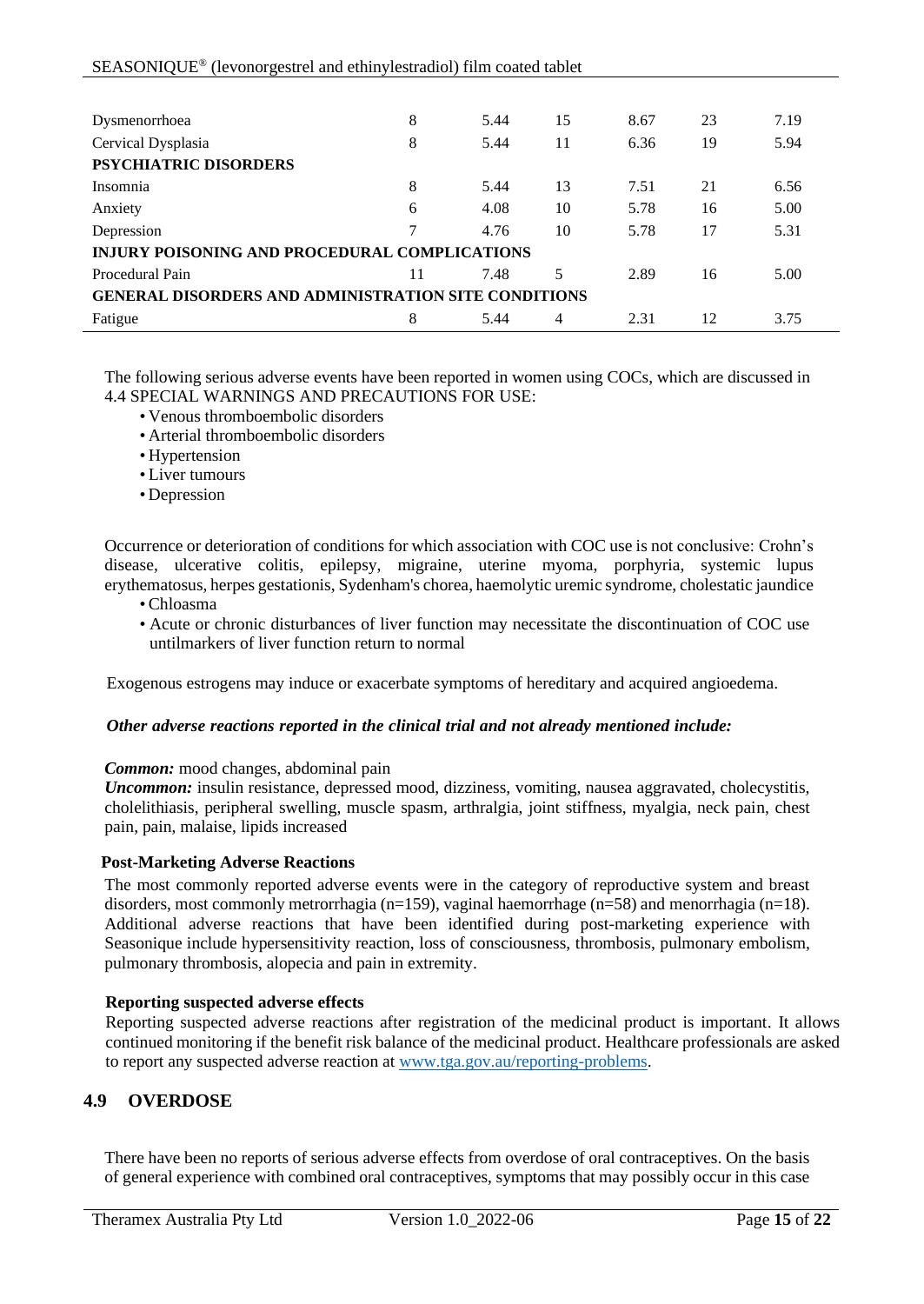| Dysmenorrhoea                                               | 8  | 5.44 | 15 | 8.67 | 23 | 7.19 |  |
|-------------------------------------------------------------|----|------|----|------|----|------|--|
|                                                             |    |      |    |      |    |      |  |
| Cervical Dysplasia                                          | 8  | 5.44 | 11 | 6.36 | 19 | 5.94 |  |
| PSYCHIATRIC DISORDERS                                       |    |      |    |      |    |      |  |
| Insomnia                                                    | 8  | 5.44 | 13 | 7.51 | 21 | 6.56 |  |
| Anxiety                                                     | 6  | 4.08 | 10 | 5.78 | 16 | 5.00 |  |
| Depression                                                  | 7  | 4.76 | 10 | 5.78 | 17 | 5.31 |  |
| <b>INJURY POISONING AND PROCEDURAL COMPLICATIONS</b>        |    |      |    |      |    |      |  |
| Procedural Pain                                             | 11 | 7.48 | 5  | 2.89 | 16 | 5.00 |  |
| <b>GENERAL DISORDERS AND ADMINISTRATION SITE CONDITIONS</b> |    |      |    |      |    |      |  |
| Fatigue                                                     | 8  | 5.44 | 4  | 2.31 | 12 | 3.75 |  |

The following serious adverse events have been reported in women using COCs, which are discussed in 4.4 SPECIAL WARNINGS AND PRECAUTIONS FOR USE:

- Venous thromboembolic disorders
- Arterial thromboembolic disorders
- Hypertension
- Liver tumours
- Depression

Occurrence or deterioration of conditions for which association with COC use is not conclusive: Crohn's disease, ulcerative colitis, epilepsy, migraine, uterine myoma, porphyria, systemic lupus erythematosus, herpes gestationis, Sydenham's chorea, haemolytic uremic syndrome, cholestatic jaundice

- Chloasma
- Acute or chronic disturbances of liver function may necessitate the discontinuation of COC use untilmarkers of liver function return to normal

Exogenous estrogens may induce or exacerbate symptoms of hereditary and acquired angioedema.

## *Other adverse reactions reported in the clinical trial and not already mentioned include:*

#### *Common:* mood changes, abdominal pain

*Uncommon:* insulin resistance, depressed mood, dizziness, vomiting, nausea aggravated, cholecystitis, cholelithiasis, peripheral swelling, muscle spasm, arthralgia, joint stiffness, myalgia, neck pain, chest pain, pain, malaise, lipids increased

## **Post-Marketing Adverse Reactions**

The most commonly reported adverse events were in the category of reproductive system and breast disorders, most commonly metrorrhagia (n=159), vaginal haemorrhage (n=58) and menorrhagia (n=18). Additional adverse reactions that have been identified during post-marketing experience with Seasonique include hypersensitivity reaction, loss of consciousness, thrombosis, pulmonary embolism, pulmonary thrombosis, alopecia and pain in extremity.

## **Reporting suspected adverse effects**

Reporting suspected adverse reactions after registration of the medicinal product is important. It allows continued monitoring if the benefit risk balance of the medicinal product. Healthcare professionals are asked to report any suspected adverse reaction at [www.tga.gov.au/reporting-problems.](http://www.tga.gov.au/reporting-problems)

# **4.9 OVERDOSE**

There have been no reports of serious adverse effects from overdose of oral contraceptives. On the basis of general experience with combined oral contraceptives, symptoms that may possibly occur in this case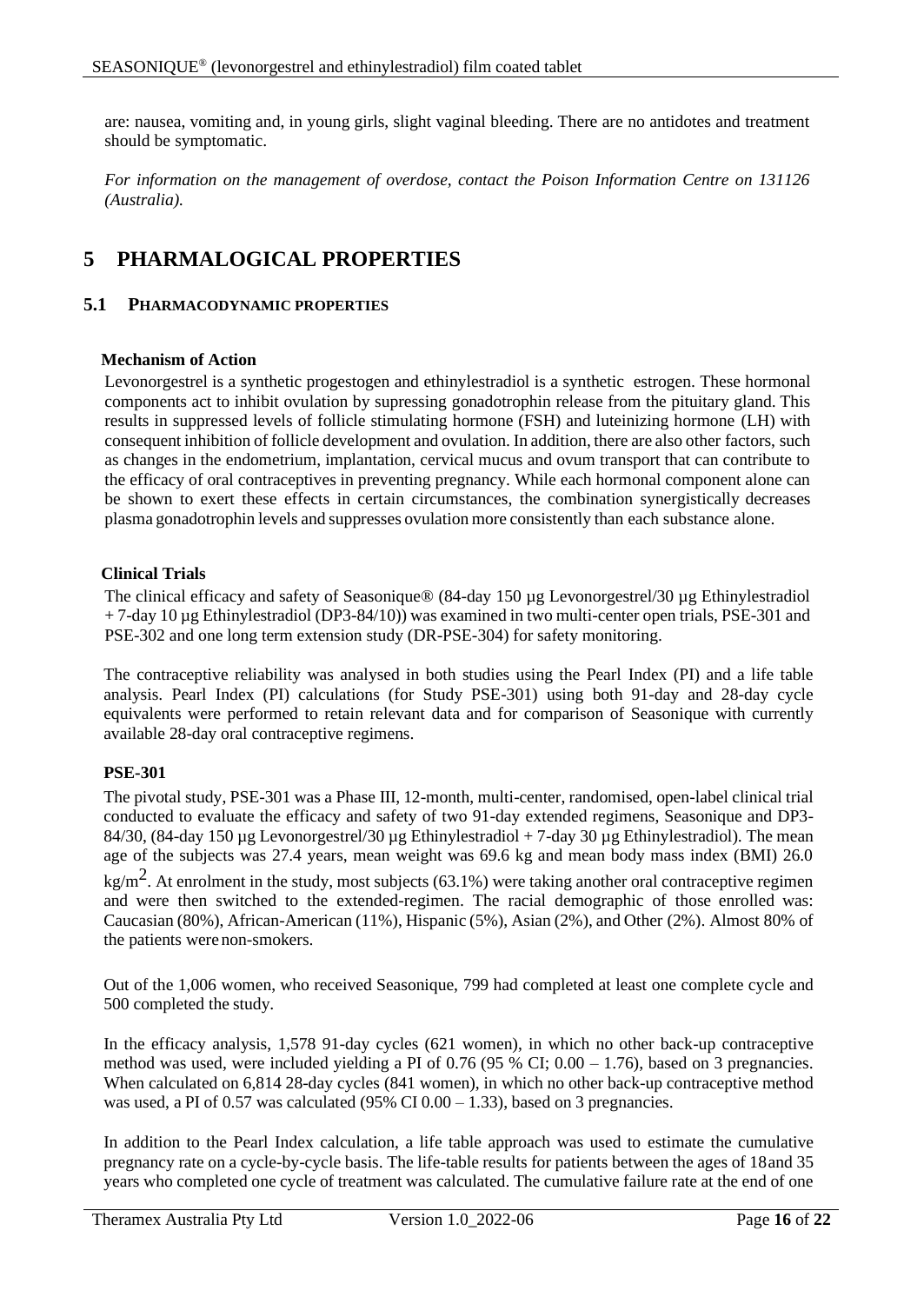are: nausea, vomiting and, in young girls, slight vaginal bleeding. There are no antidotes and treatment should be symptomatic.

*For information on the management of overdose, contact the Poison Information Centre on 131126 (Australia).*

# **5 PHARMALOGICAL PROPERTIES**

# **5.1 PHARMACODYNAMIC PROPERTIES**

## **Mechanism of Action**

Levonorgestrel is a synthetic progestogen and ethinylestradiol is a synthetic estrogen. These hormonal components act to inhibit ovulation by supressing gonadotrophin release from the pituitary gland. This results in suppressed levels of follicle stimulating hormone (FSH) and luteinizing hormone (LH) with consequent inhibition of follicle development and ovulation. In addition, there are also other factors, such as changes in the endometrium, implantation, cervical mucus and ovum transport that can contribute to the efficacy of oral contraceptives in preventing pregnancy. While each hormonal component alone can be shown to exert these effects in certain circumstances, the combination synergistically decreases plasma gonadotrophin levels and suppresses ovulation more consistently than each substance alone.

## **Clinical Trials**

The clinical efficacy and safety of Seasonique® (84-day 150 µg Levonorgestrel/30 µg Ethinylestradiol + 7-day 10 µg Ethinylestradiol (DP3-84/10)) was examined in two multi-center open trials, PSE-301 and PSE-302 and one long term extension study (DR-PSE-304) for safety monitoring.

The contraceptive reliability was analysed in both studies using the Pearl Index (PI) and a life table analysis. Pearl Index (PI) calculations (for Study PSE-301) using both 91-day and 28-day cycle equivalents were performed to retain relevant data and for comparison of Seasonique with currently available 28-day oral contraceptive regimens.

# **PSE-301**

The pivotal study, PSE-301 was a Phase III, 12-month, multi-center, randomised, open-label clinical trial conducted to evaluate the efficacy and safety of two 91-day extended regimens, Seasonique and DP3- 84/30, (84-day 150 µg Levonorgestrel/30 µg Ethinylestradiol + 7-day 30 µg Ethinylestradiol). The mean age of the subjects was 27.4 years, mean weight was 69.6 kg and mean body mass index (BMI) 26.0

 $\text{kg/m}^2$ . At enrolment in the study, most subjects (63.1%) were taking another oral contraceptive regimen and were then switched to the extended-regimen. The racial demographic of those enrolled was: Caucasian (80%), African-American (11%), Hispanic (5%), Asian (2%), and Other (2%). Almost 80% of the patients were non-smokers.

Out of the 1,006 women, who received Seasonique, 799 had completed at least one complete cycle and 500 completed the study.

In the efficacy analysis, 1,578 91-day cycles (621 women), in which no other back-up contraceptive method was used, were included yielding a PI of  $0.76$  (95 % CI;  $0.00 - 1.76$ ), based on 3 pregnancies. When calculated on 6,814 28-day cycles (841 women), in which no other back-up contraceptive method was used, a PI of 0.57 was calculated  $(95\% \text{ CI } 0.00 - 1.33)$ , based on 3 pregnancies.

In addition to the Pearl Index calculation, a life table approach was used to estimate the cumulative pregnancy rate on a cycle-by-cycle basis. The life-table results for patients between the ages of 18and 35 years who completed one cycle of treatment was calculated. The cumulative failure rate at the end of one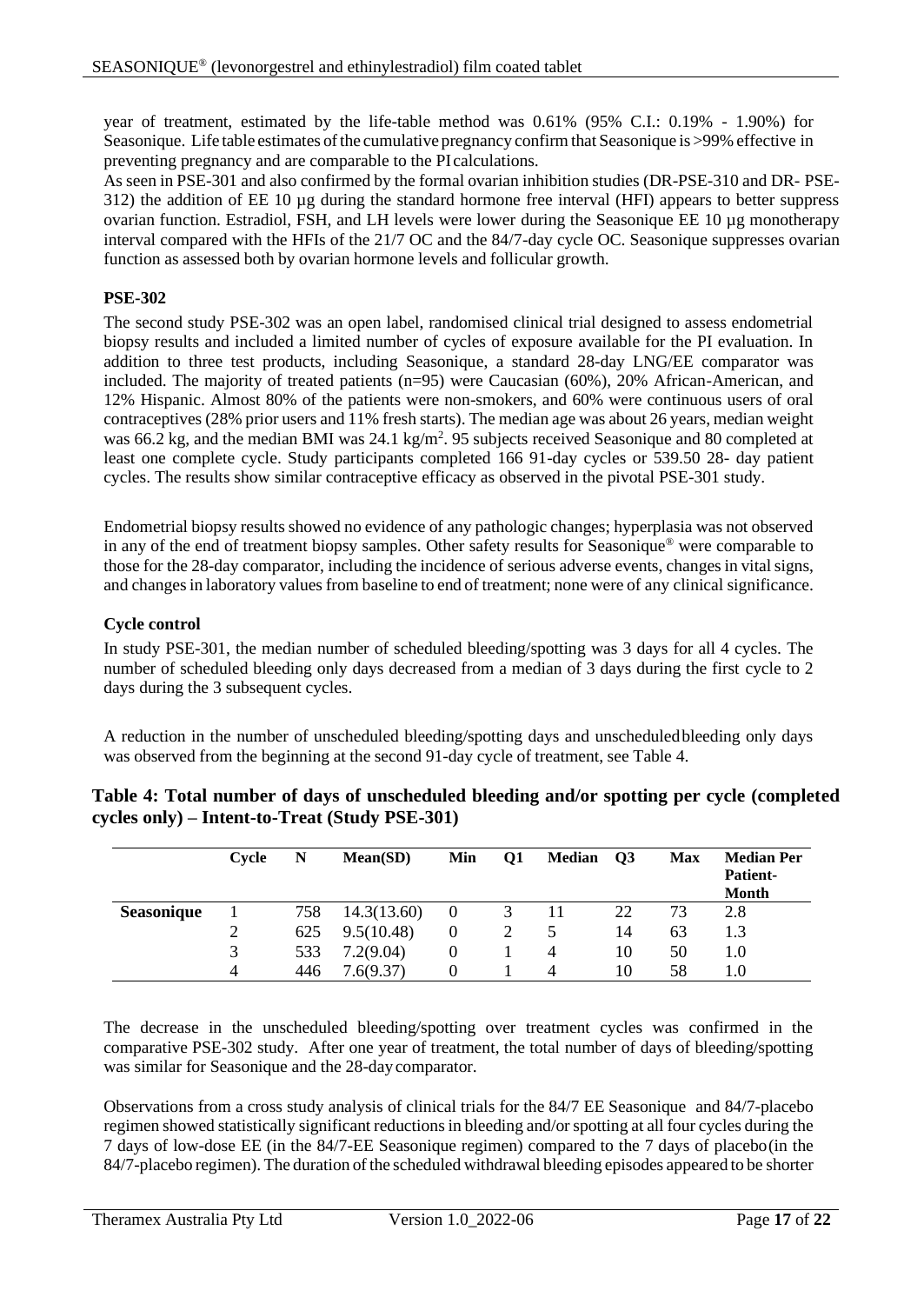year of treatment, estimated by the life-table method was 0.61% (95% C.I.: 0.19% - 1.90%) for Seasonique. Life table estimates of the cumulative pregnancy confirm that Seasonique is >99% effective in preventing pregnancy and are comparable to the PI calculations.

As seen in PSE-301 and also confirmed by the formal ovarian inhibition studies (DR-PSE-310 and DR- PSE-312) the addition of EE 10 µg during the standard hormone free interval (HFI) appears to better suppress ovarian function. Estradiol, FSH, and LH levels were lower during the Seasonique EE 10 µg monotherapy interval compared with the HFIs of the 21/7 OC and the 84/7-day cycle OC. Seasonique suppresses ovarian function as assessed both by ovarian hormone levels and follicular growth.

## **PSE-302**

The second study PSE-302 was an open label, randomised clinical trial designed to assess endometrial biopsy results and included a limited number of cycles of exposure available for the PI evaluation. In addition to three test products, including Seasonique, a standard 28-day LNG/EE comparator was included. The majority of treated patients (n=95) were Caucasian (60%), 20% African-American, and 12% Hispanic. Almost 80% of the patients were non-smokers, and 60% were continuous users of oral contraceptives (28% prior users and 11% fresh starts). The median age was about 26 years, median weight was 66.2 kg, and the median BMI was  $24.1 \text{ kg/m}^2$ . 95 subjects received Seasonique and 80 completed at least one complete cycle. Study participants completed 166 91-day cycles or 539.50 28- day patient cycles. The results show similar contraceptive efficacy as observed in the pivotal PSE-301 study.

Endometrial biopsy results showed no evidence of any pathologic changes; hyperplasia was not observed in any of the end of treatment biopsy samples. Other safety results for Seasonique® were comparable to those for the 28-day comparator, including the incidence of serious adverse events, changes in vital signs, and changes in laboratory values from baseline to end of treatment; none were of any clinical significance.

## **Cycle control**

In study PSE-301, the median number of scheduled bleeding/spotting was 3 days for all 4 cycles. The number of scheduled bleeding only days decreased from a median of 3 days during the first cycle to 2 days during the 3 subsequent cycles.

A reduction in the number of unscheduled bleeding/spotting days and unscheduledbleeding only days was observed from the beginning at the second 91-day cycle of treatment, see [Table 4.](#page-16-0)

|                   | Cvcle | N   | Mean(SD)    | Min      | Q1 | <b>Median</b> | Q3 | <b>Max</b> | <b>Median Per</b><br><b>Patient-</b><br><b>Month</b> |
|-------------------|-------|-----|-------------|----------|----|---------------|----|------------|------------------------------------------------------|
| <b>Seasonique</b> |       | 758 | 14.3(13.60) | $\theta$ |    |               | 22 | 73         | 2.8                                                  |
|                   | ◠     | 625 | 9.5(10.48)  |          |    |               | 14 | 63         | 1.3                                                  |
|                   | 3     | 533 | 7.2(9.04)   |          |    |               | 10 | 50         | 1.0                                                  |
|                   | 4     | 446 | 7.6(9.37)   |          |    |               | 10 | 58         | 1.0                                                  |

#### <span id="page-16-0"></span>**Table 4: Total number of days of unscheduled bleeding and/or spotting per cycle (completed cycles only) – Intent-to-Treat (Study PSE-301)**

The decrease in the unscheduled bleeding/spotting over treatment cycles was confirmed in the comparative PSE-302 study. After one year of treatment, the total number of days of bleeding/spotting was similar for Seasonique and the 28-day comparator.

Observations from a cross study analysis of clinical trials for the 84/7 EE Seasonique and 84/7-placebo regimen showed statistically significant reductionsin bleeding and/orspotting at all four cycles during the 7 days of low-dose EE (in the 84/7-EE Seasonique regimen) compared to the 7 days of placebo(in the 84/7-placebo regimen). The duration of the scheduled withdrawal bleeding episodes appeared to be shorter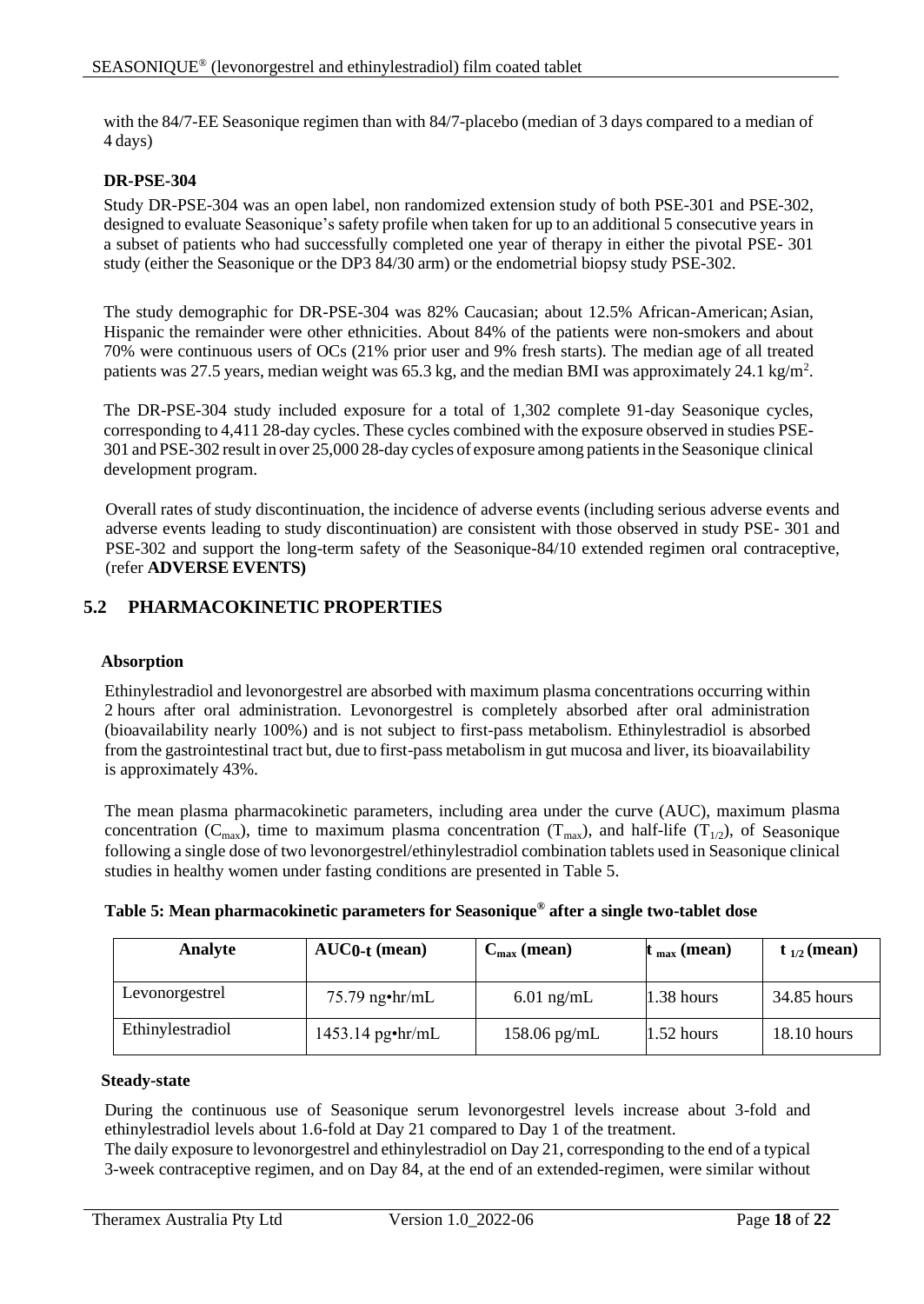with the 84/7-EE Seasonique regimen than with 84/7-placebo (median of 3 days compared to a median of 4 days)

## **DR-PSE-304**

Study DR-PSE-304 was an open label, non randomized extension study of both PSE-301 and PSE-302, designed to evaluate Seasonique's safety profile when taken for up to an additional 5 consecutive years in a subset of patients who had successfully completed one year of therapy in either the pivotal PSE- 301 study (either the Seasonique or the DP3 84/30 arm) or the endometrial biopsy study PSE-302.

The study demographic for DR-PSE-304 was 82% Caucasian; about 12.5% African-American;Asian, Hispanic the remainder were other ethnicities. About 84% of the patients were non-smokers and about 70% were continuous users of OCs (21% prior user and 9% fresh starts). The median age of all treated patients was 27.5 years, median weight was 65.3 kg, and the median BMI was approximately 24.1 kg/m<sup>2</sup>.

The DR-PSE-304 study included exposure for a total of 1,302 complete 91-day Seasonique cycles, corresponding to 4,411 28-day cycles. These cycles combined with the exposure observed in studies PSE-301 and PSE-302 result in over 25,000 28-day cycles of exposure among patientsin the Seasonique clinical development program.

Overall rates of study discontinuation, the incidence of adverse events (including serious adverse events and adverse events leading to study discontinuation) are consistent with those observed in study PSE- 301 and PSE-302 and support the long-term safety of the Seasonique-84/10 extended regimen oral contraceptive, (refer **ADVERSE EVENTS)**

# **5.2 PHARMACOKINETIC PROPERTIES**

## **Absorption**

Ethinylestradiol and levonorgestrel are absorbed with maximum plasma concentrations occurring within 2 hours after oral administration. Levonorgestrel is completely absorbed after oral administration (bioavailability nearly 100%) and is not subject to first-pass metabolism. Ethinylestradiol is absorbed from the gastrointestinal tract but, due to first-pass metabolism in gut mucosa and liver, its bioavailability is approximately 43%.

The mean plasma pharmacokinetic parameters, including area under the curve (AUC), maximum plasma concentration ( $C_{\text{max}}$ ), time to maximum plasma concentration ( $T_{\text{max}}$ ), and half-life ( $T_{1/2}$ ), of Seasonique following a single dose of two levonorgestrel/ethinylestradiol combination tablets used in Seasonique clinical studies in healthy women under fasting conditions are presented in [Table 5.](#page-17-0)

| Analyte          | $AUC0-t$ (mean)    | $C_{\text{max}}$ (mean) | $t_{max}$ (mean) | $t_{1/2}$ (mean) |
|------------------|--------------------|-------------------------|------------------|------------------|
| Levonorgestrel   | $75.79$ ng•hr/mL   | $6.01$ ng/mL            | $1.38$ hours     | 34.85 hours      |
| Ethinylestradiol | $1453.14$ pg•hr/mL | $158.06$ pg/mL          | $1.52$ hours     | $18.10$ hours    |

<span id="page-17-0"></span>

| Table 5: Mean pharmacokinetic parameters for Seasonique® after a single two-tablet dose |  |
|-----------------------------------------------------------------------------------------|--|
|-----------------------------------------------------------------------------------------|--|

#### **Steady-state**

During the continuous use of Seasonique serum levonorgestrel levels increase about 3-fold and ethinylestradiol levels about 1.6-fold at Day 21 compared to Day 1 of the treatment.

The daily exposure to levonorgestrel and ethinylestradiol on Day 21, corresponding to the end of a typical 3-week contraceptive regimen, and on Day 84, at the end of an extended-regimen, were similar without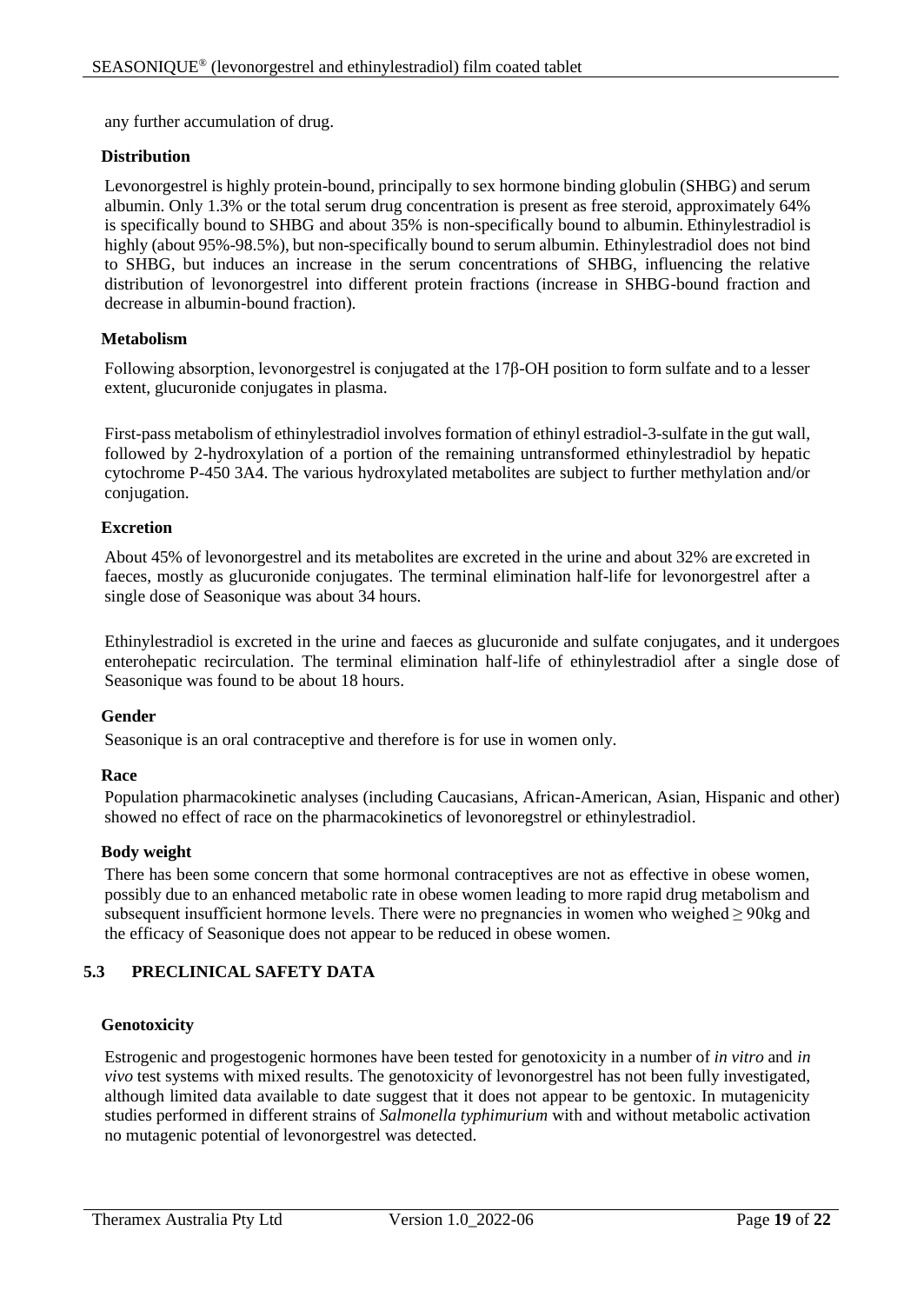any further accumulation of drug.

#### **Distribution**

Levonorgestrel is highly protein-bound, principally to sex hormone binding globulin (SHBG) and serum albumin. Only 1.3% or the total serum drug concentration is present as free steroid, approximately 64% is specifically bound to SHBG and about 35% is non-specifically bound to albumin. Ethinylestradiol is highly (about 95%-98.5%), but non-specifically bound to serum albumin. Ethinylestradiol does not bind to SHBG, but induces an increase in the serum concentrations of SHBG, influencing the relative distribution of levonorgestrel into different protein fractions (increase in SHBG-bound fraction and decrease in albumin-bound fraction).

#### **Metabolism**

Following absorption, levonorgestrel is conjugated at the 17β-OH position to form sulfate and to a lesser extent, glucuronide conjugates in plasma.

First-pass metabolism of ethinylestradiol involves formation of ethinyl estradiol-3-sulfate in the gut wall, followed by 2-hydroxylation of a portion of the remaining untransformed ethinylestradiol by hepatic cytochrome P-450 3A4. The various hydroxylated metabolites are subject to further methylation and/or conjugation.

#### **Excretion**

About 45% of levonorgestrel and its metabolites are excreted in the urine and about 32% are excreted in faeces, mostly as glucuronide conjugates. The terminal elimination half-life for levonorgestrel after a single dose of Seasonique was about 34 hours.

Ethinylestradiol is excreted in the urine and faeces as glucuronide and sulfate conjugates, and it undergoes enterohepatic recirculation. The terminal elimination half-life of ethinylestradiol after a single dose of Seasonique was found to be about 18 hours.

#### **Gender**

Seasonique is an oral contraceptive and therefore is for use in women only.

## **Race**

Population pharmacokinetic analyses (including Caucasians, African-American, Asian, Hispanic and other) showed no effect of race on the pharmacokinetics of levonoregstrel or ethinylestradiol.

#### **Body weight**

There has been some concern that some hormonal contraceptives are not as effective in obese women, possibly due to an enhanced metabolic rate in obese women leading to more rapid drug metabolism and subsequent insufficient hormone levels. There were no pregnancies in women who weighed  $\geq$  90kg and the efficacy of Seasonique does not appear to be reduced in obese women.

# **5.3 PRECLINICAL SAFETY DATA**

## **Genotoxicity**

Estrogenic and progestogenic hormones have been tested for genotoxicity in a number of *in vitro* and *in vivo* test systems with mixed results. The genotoxicity of levonorgestrel has not been fully investigated, although limited data available to date suggest that it does not appear to be gentoxic. In mutagenicity studies performed in different strains of *Salmonella typhimurium* with and without metabolic activation no mutagenic potential of levonorgestrel was detected.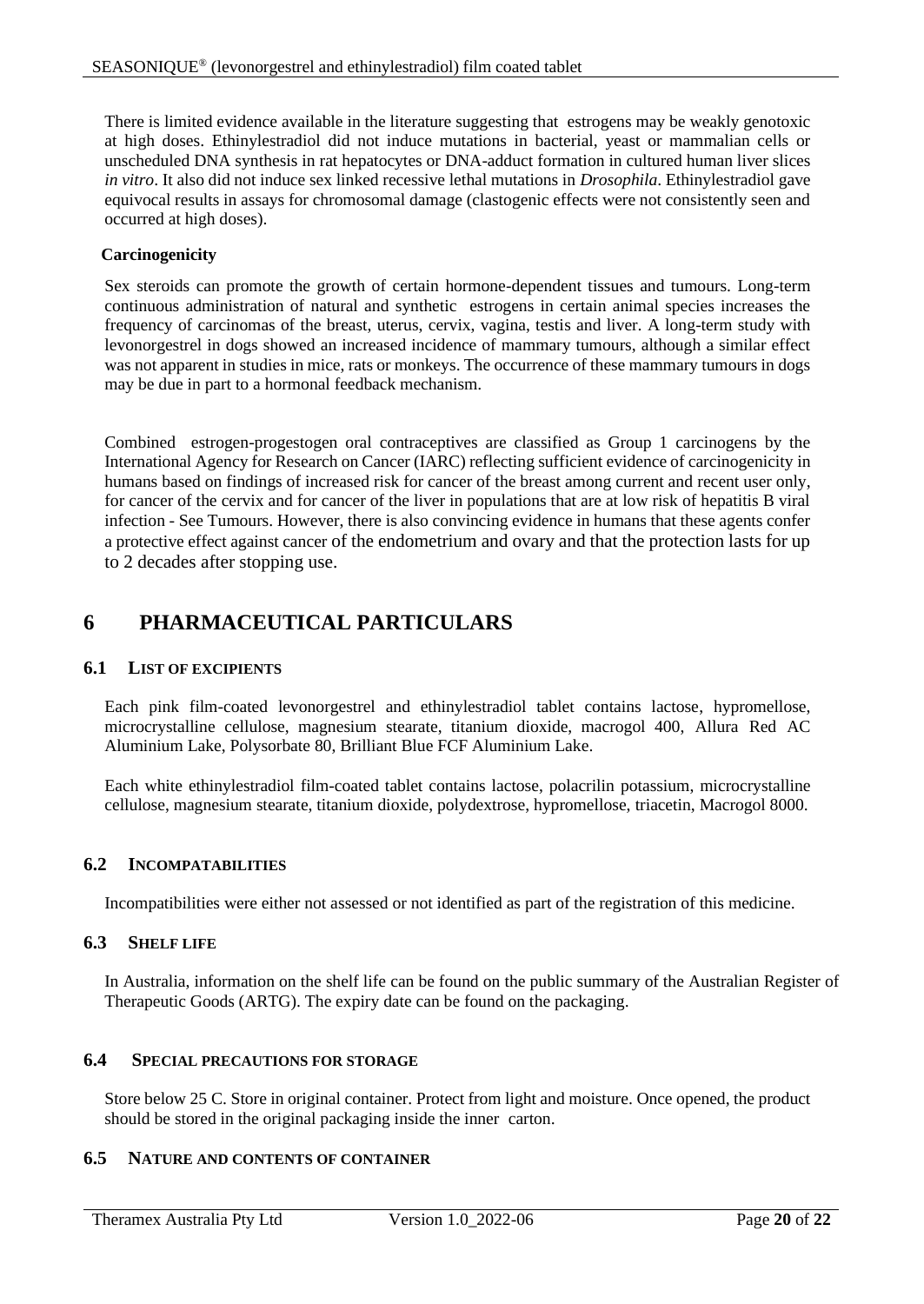There is limited evidence available in the literature suggesting that estrogens may be weakly genotoxic at high doses. Ethinylestradiol did not induce mutations in bacterial, yeast or mammalian cells or unscheduled DNA synthesis in rat hepatocytes or DNA-adduct formation in cultured human liver slices *in vitro*. It also did not induce sex linked recessive lethal mutations in *Drosophila*. Ethinylestradiol gave equivocal results in assays for chromosomal damage (clastogenic effects were not consistently seen and occurred at high doses).

#### **Carcinogenicity**

Sex steroids can promote the growth of certain hormone-dependent tissues and tumours. Long-term continuous administration of natural and synthetic estrogens in certain animal species increases the frequency of carcinomas of the breast, uterus, cervix, vagina, testis and liver. A long-term study with levonorgestrel in dogs showed an increased incidence of mammary tumours, although a similar effect was not apparent in studies in mice, rats or monkeys. The occurrence of these mammary tumours in dogs may be due in part to a hormonal feedback mechanism.

Combined estrogen-progestogen oral contraceptives are classified as Group 1 carcinogens by the International Agency for Research on Cancer (IARC) reflecting sufficient evidence of carcinogenicity in humans based on findings of increased risk for cancer of the breast among current and recent user only, for cancer of the cervix and for cancer of the liver in populations that are at low risk of hepatitis B viral infection - See Tumours. However, there is also convincing evidence in humans that these agents confer a protective effect against cancer of the endometrium and ovary and that the protection lasts for up to 2 decades after stopping use.

# **6 PHARMACEUTICAL PARTICULARS**

## <span id="page-19-0"></span>**6.1 LIST OF EXCIPIENTS**

Each pink film-coated levonorgestrel and ethinylestradiol tablet contains lactose, hypromellose, microcrystalline cellulose, magnesium stearate, titanium dioxide, macrogol 400, Allura Red AC Aluminium Lake, Polysorbate 80, Brilliant Blue FCF Aluminium Lake.

Each white ethinylestradiol film-coated tablet contains lactose, polacrilin potassium, microcrystalline cellulose, magnesium stearate, titanium dioxide, polydextrose, hypromellose, triacetin, Macrogol 8000.

## **6.2 INCOMPATABILITIES**

Incompatibilities were either not assessed or not identified as part of the registration of this medicine.

## **6.3 SHELF LIFE**

In Australia, information on the shelf life can be found on the public summary of the Australian Register of Therapeutic Goods (ARTG). The expiry date can be found on the packaging.

# **6.4 SPECIAL PRECAUTIONS FOR STORAGE**

Store below 25 C. Store in original container. Protect from light and moisture. Once opened, the product should be stored in the original packaging inside the inner carton.

# **6.5 NATURE AND CONTENTS OF CONTAINER**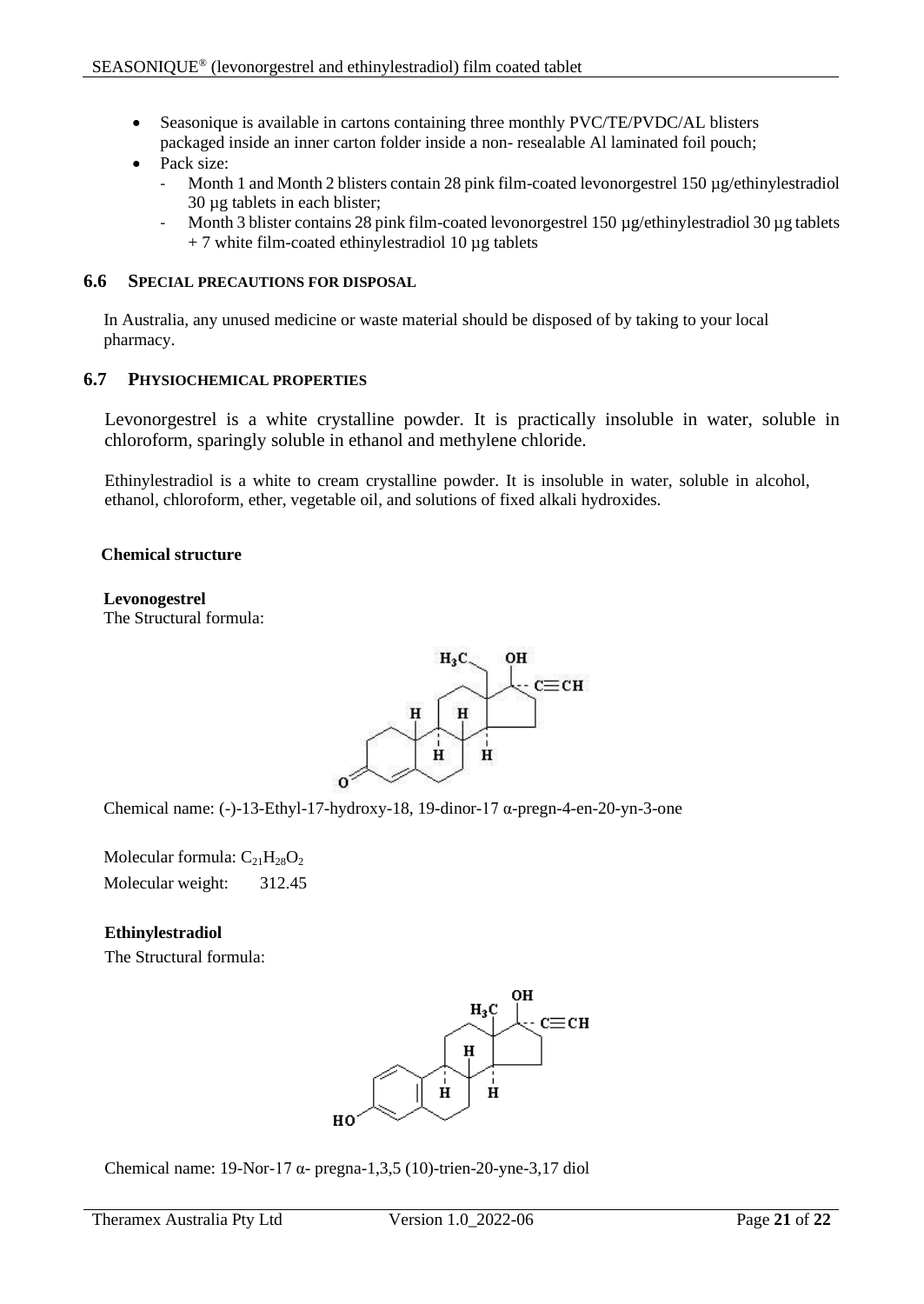• Seasonique is available in cartons containing three monthly PVC/TE/PVDC/AL blisters packaged inside an inner carton folder inside a non- resealable Al laminated foil pouch;

# • Pack size:

- Month 1 and Month 2 blisters contain 28 pink film-coated levonorgestrel 150  $\mu$ g/ethinylestradiol 30 µg tablets in each blister;
- Month 3 blister contains 28 pink film-coated levonorgestrel 150 µg/ethinylestradiol 30 µg tablets  $+ 7$  white film-coated ethinylestradiol 10  $\mu$ g tablets

## **6.6 SPECIAL PRECAUTIONS FOR DISPOSAL**

In Australia, any unused medicine or waste material should be disposed of by taking to your local pharmacy.

# **6.7 PHYSIOCHEMICAL PROPERTIES**

Levonorgestrel is a white crystalline powder. It is practically insoluble in water, soluble in chloroform, sparingly soluble in ethanol and methylene chloride.

Ethinylestradiol is a white to cream crystalline powder. It is insoluble in water, soluble in alcohol, ethanol, chloroform, ether, vegetable oil, and solutions of fixed alkali hydroxides.

## **Chemical structure**

# **Levonogestrel**

The Structural formula:



Chemical name: (-)-13-Ethyl-17-hydroxy-18, 19-dinor-17 α-pregn-4-en-20-yn-3-one

Molecular formula:  $C_{21}H_{28}O_2$ Molecular weight: 312.45

# **Ethinylestradiol**

The Structural formula:



Chemical name: 19-Nor-17 α- pregna-1,3,5 (10)-trien-20-yne-3,17 diol